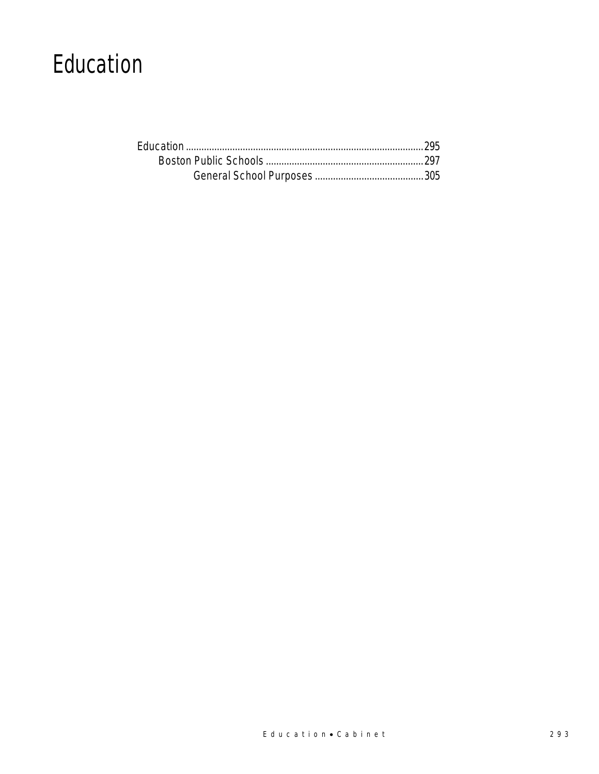# Education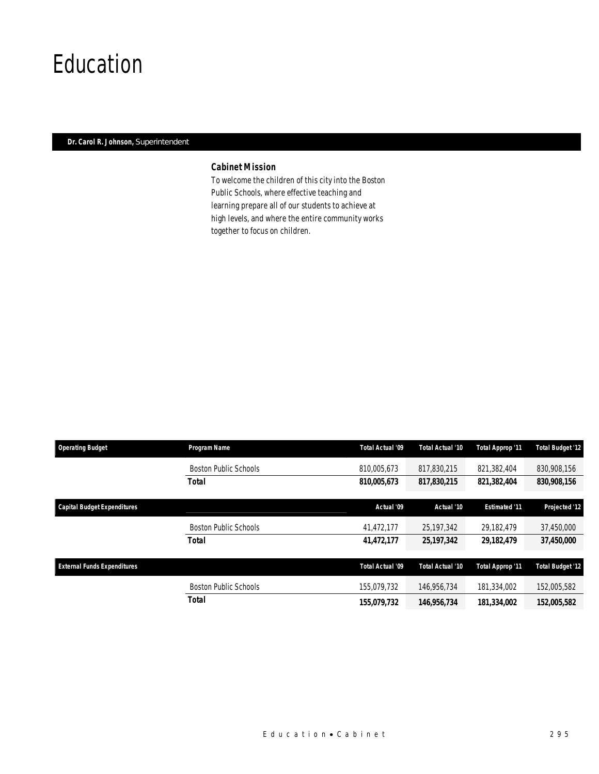# Education

### *Dr. Carol R. Johnson, Superintendent*

### *Cabinet Mission*

To welcome the children of this city into the Boston Public Schools, where effective teaching and learning prepare all of our students to achieve at high levels, and where the entire community works together to focus on children.

| <b>Operating Budget</b>            | <b>Program Name</b>          | Total Actual '09 | Total Actual '10 | <b>Total Approp '11</b> | <b>Total Budget '12</b> |
|------------------------------------|------------------------------|------------------|------------------|-------------------------|-------------------------|
|                                    | <b>Boston Public Schools</b> | 810,005,673      | 817,830,215      | 821,382,404             | 830,908,156             |
|                                    | <b>Total</b>                 | 810,005,673      | 817,830,215      | 821,382,404             | 830,908,156             |
| <b>Capital Budget Expenditures</b> |                              | Actual '09       | Actual '10       | <b>Estimated '11</b>    | Projected '12           |
|                                    | <b>Boston Public Schools</b> | 41.472.177       | 25,197,342       | 29.182.479              | 37,450,000              |
|                                    | Total                        | 41,472,177       | 25,197,342       | 29,182,479              | 37,450,000              |
| <b>External Funds Expenditures</b> |                              | Total Actual '09 | Total Actual '10 | <b>Total Approp '11</b> | <b>Total Budget '12</b> |
|                                    | <b>Boston Public Schools</b> | 155.079.732      | 146.956.734      | 181.334.002             | 152,005,582             |
|                                    | Total                        | 155,079,732      | 146,956,734      | 181,334,002             | 152,005,582             |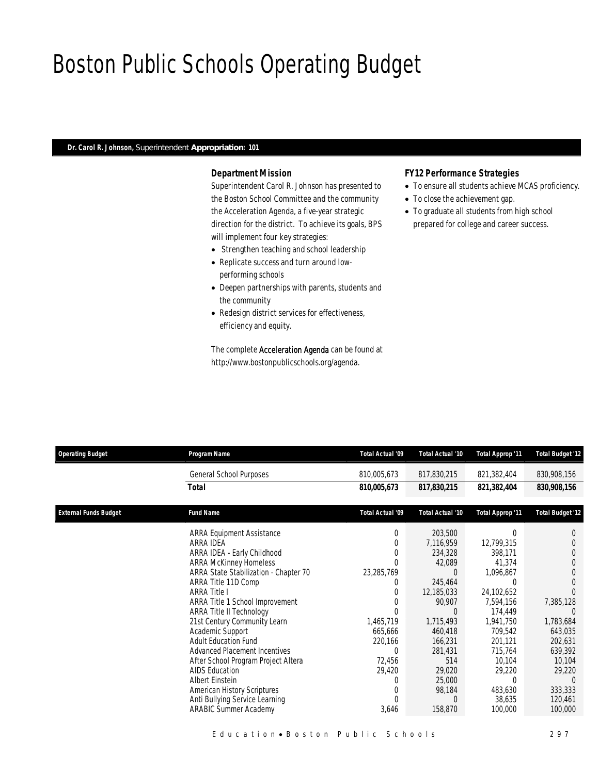# Boston Public Schools Operating Budget

#### *Dr. Carol R. Johnson, Superintendent Appropriation: 101*

### *Department Mission*

Superintendent Carol R. Johnson has presented to the Boston School Committee and the community the Acceleration Agenda, a five-year strategic direction for the district. To achieve its goals, BPS will implement four key strategies:

- Strengthen teaching and school leadership
- Replicate success and turn around lowperforming schools
- Deepen partnerships with parents, students and the community
- Redesign district services for effectiveness, efficiency and equity.

The complete Acceleration Agenda can be found at http://www.bostonpublicschools.org/agenda.

#### *FY12 Performance Strategies*

- To ensure all students achieve MCAS proficiency.
- To close the achievement gap.
- To graduate all students from high school prepared for college and career success.

| <b>Operating Budget</b>      | Program Name                                                   | Total Actual '09 | Total Actual '10        | Total Approp '11        | <b>Total Budget '12</b> |
|------------------------------|----------------------------------------------------------------|------------------|-------------------------|-------------------------|-------------------------|
|                              | General School Purposes                                        | 810,005,673      | 817,830,215             | 821,382,404             | 830,908,156             |
|                              | <b>Total</b>                                                   | 810,005,673      | 817,830,215             | 821,382,404             | 830,908,156             |
| <b>External Funds Budget</b> | <b>Fund Name</b>                                               | Total Actual '09 | <b>Total Actual '10</b> | <b>Total Approp '11</b> | <b>Total Budget '12</b> |
|                              | <b>ARRA Equipment Assistance</b>                               | 0                | 203,500                 | 0                       | 0                       |
|                              | ARRA IDEA                                                      | 0                | 7,116,959               | 12,799,315              |                         |
|                              | ARRA IDEA - Early Childhood                                    | 0                | 234,328                 | 398,171                 | 0                       |
|                              | <b>ARRA McKinney Homeless</b>                                  | $\Omega$         | 42,089                  | 41.374                  | $\theta$                |
|                              | ARRA State Stabilization - Chapter 70                          | 23,285,769       | 0                       | 1,096,867               |                         |
|                              | ARRA Title 11D Comp                                            | 0                | 245,464                 | 0                       | $\Omega$                |
|                              | <b>ARRA Title I</b>                                            | $\mathbf 0$      | 12,185,033              | 24,102,652              |                         |
|                              | ARRA Title 1 School Improvement                                |                  | 90,907                  | 7,594,156               | 7,385,128               |
|                              | ARRA Title II Technology                                       |                  | 0                       | 174.449                 | $\left($                |
|                              | 21st Century Community Learn                                   | 1,465,719        | 1,715,493               | 1,941,750               | 1,783,684               |
|                              | Academic Support                                               | 665,666          | 460,418                 | 709,542                 | 643,035                 |
|                              | <b>Adult Education Fund</b>                                    | 220,166          | 166,231                 | 201,121                 | 202,631                 |
|                              | <b>Advanced Placement Incentives</b>                           | $\Omega$         | 281,431                 | 715,764                 | 639,392                 |
|                              | After School Program Project Altera                            | 72,456           | 514                     | 10,104                  | 10,104                  |
|                              | <b>AIDS Education</b><br>Albert Einstein                       | 29,420<br>0      | 29,020<br>25,000        | 29,220<br>0             | 29,220<br>$\Omega$      |
|                              |                                                                | $\Omega$         |                         | 483,630                 | 333,333                 |
|                              | <b>American History Scriptures</b>                             | 0                | 98,184                  | 38,635                  | 120,461                 |
|                              | Anti Bullying Service Learning<br><b>ARABIC Summer Academy</b> | 3,646            | 158,870                 | 100,000                 | 100,000                 |
|                              |                                                                |                  |                         |                         |                         |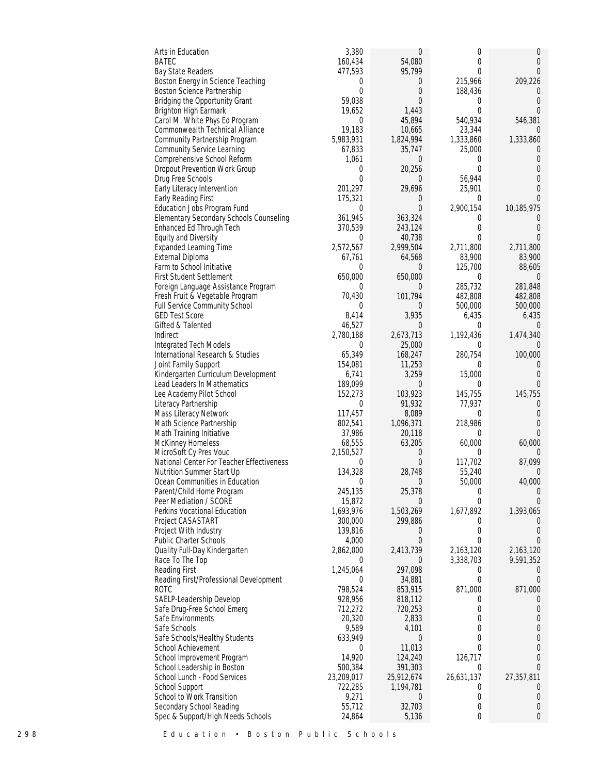| Arts in Education                                                | 3,380             | $\overline{0}$             | 0                   | 0                    |
|------------------------------------------------------------------|-------------------|----------------------------|---------------------|----------------------|
| <b>BATEC</b>                                                     | 160,434           | 54,080                     | 0                   | 0                    |
| Bay State Readers                                                | 477,593           | 95,799                     | 0                   | $\Omega$             |
| Boston Energy in Science Teaching                                |                   | 0<br>0                     | 215,966             | 209,226              |
| Boston Science Partnership                                       |                   | $\mathbf{0}$<br>$\theta$   | 188,436             | $\Omega$             |
| Bridging the Opportunity Grant                                   | 59,038            | 0                          | 0                   | $\Omega$             |
| Brighton High Earmark                                            | 19,652            | 1,443                      | $\overline{0}$      | $\Omega$             |
| Carol M. White Phys Ed Program                                   |                   | $\mathbf{0}$<br>45,894     | 540,934             | 546,381              |
| Commonwealth Technical Alliance                                  | 19,183            | 10,665                     | 23,344              |                      |
| Community Partnership Program                                    | 5,983,931         | 1,824,994                  | 1,333,860           | 1,333,860            |
| <b>Community Service Learning</b><br>Comprehensive School Reform | 67,833<br>1,061   | 35,747<br>0                | 25,000<br>0         | $\cup$<br>0          |
| Dropout Prevention Work Group                                    |                   | 20,256<br>$\mathbf 0$      | $\theta$            | $\Omega$             |
| Drug Free Schools                                                |                   | $\Omega$<br>$\overline{0}$ | 56,944              | $\Omega$             |
| Early Literacy Intervention                                      | 201,297           | 29,696                     | 25,901              | $\Omega$             |
| Early Reading First                                              | 175,321           | 0                          | $\theta$            | $\Omega$             |
| Education Jobs Program Fund                                      |                   | $\theta$<br>0              | 2,900,154           | 10,185,975           |
| Elementary Secondary Schools Counseling                          | 361,945           | 363,324                    | 0                   |                      |
| Enhanced Ed Through Tech                                         | 370,539           | 243,124                    | 0                   | $\Omega$             |
| Equity and Diversity                                             |                   | 40,738<br>$\theta$         | $\Omega$            | $\Omega$             |
| <b>Expanded Learning Time</b>                                    | 2,572,567         | 2,999,504                  | 2,711,800           | 2,711,800            |
| External Diploma                                                 | 67,761            | 64,568                     | 83,900              | 83,900               |
| Farm to School Initiative                                        |                   | $\theta$<br>$\overline{0}$ | 125,700             | 88,605               |
| <b>First Student Settlement</b>                                  | 650,000           | 650,000                    | 0                   |                      |
| Foreign Language Assistance Program                              |                   | $\theta$<br>0              | 285,732             | 281,848              |
| Fresh Fruit & Vegetable Program                                  | 70,430            | 101,794                    | 482,808             | 482,808              |
| Full Service Community School                                    |                   | 0<br>0                     | 500,000             | 500,000              |
| <b>GED Test Score</b>                                            | 8,414             | 3,935                      | 6,435               | 6,435                |
| Gifted & Talented                                                | 46,527            | 0                          | $\theta$            | $\Omega$             |
| Indirect                                                         | 2,780,188         | 2,673,713                  | 1,192,436           | 1,474,340            |
| Integrated Tech Models                                           |                   | 25,000<br>$\theta$         | $\theta$            | $\Omega$             |
| International Research & Studies                                 | 65,349            | 168,247                    | 280,754             | 100,000              |
| Joint Family Support                                             | 154,081           | 11,253                     | $\Omega$            |                      |
| Kindergarten Curriculum Development                              | 6,741             | 3,259                      | 15,000              | $\Omega$             |
| Lead Leaders In Mathematics                                      | 189,099           | $\theta$                   | $\theta$            | $\Omega$             |
| Lee Academy Pilot School                                         | 152,273           | 103,923                    | 145,755             | 145,755              |
| Literacy Partnership                                             |                   | 91,932<br>0                | 77,937              | $\Omega$             |
| Mass Literacy Network                                            | 117,457           | 8,089                      | 0                   | $\theta$             |
| Math Science Partnership                                         | 802,541<br>37,986 | 1,096,371                  | 218,986<br>$\theta$ | $\Omega$<br>$\Omega$ |
| Math Training Initiative<br>McKinney Homeless                    | 68,555            | 20,118<br>63,205           | 60,000              | 60,000               |
| MicroSoft Cy Pres Vouc                                           | 2,150,527         | 0                          | $\Omega$            |                      |
| National Center For Teacher Effectiveness                        |                   | $\mathbf 0$<br>$\theta$    | 117,702             | 87,099               |
| Nutrition Summer Start Up                                        | 134,328           | 28,748                     | 55,240              | 0                    |
| Ocean Communities in Education                                   |                   | $\Omega$<br>0              | 50,000              | 40,000               |
| Parent/Child Home Program                                        | 245,135           | 25,378                     | 0                   | $\Omega$             |
| Peer Mediation / SCORE                                           | 15,872            | $\theta$                   | $\theta$            | $\Omega$             |
| Perkins Vocational Education                                     | 1,693,976         | 1,503,269                  | 1,677,892           | 1,393,065            |
| Project CASASTART                                                | 300,000           | 299,886                    | 0                   | $\Omega$             |
| Project With Industry                                            | 139,816           | 0                          | $\theta$            | $\theta$             |
| <b>Public Charter Schools</b>                                    | 4,000             | 0                          | $\Omega$            |                      |
| Quality Full-Day Kindergarten                                    | 2,862,000         | 2,413,739                  | 2,163,120           | 2,163,120            |
| Race To The Top                                                  |                   | $\theta$<br>$\overline{0}$ | 3,338,703           | 9,591,352            |
| Reading First                                                    | 1,245,064         | 297,098                    | 0                   |                      |
| Reading First/Professional Development                           |                   | 34,881<br>$\theta$         | $\Omega$            | $\theta$             |
| <b>ROTC</b>                                                      | 798,524           | 853,915                    | 871,000             | 871,000              |
| SAELP-Leadership Develop                                         | 928,956           | 818,112                    | 0                   |                      |
| Safe Drug-Free School Emerg                                      | 712,272           | 720,253                    | 0                   | $\Omega$             |
| Safe Environments                                                | 20,320            | 2,833                      | 0                   | 0                    |
| Safe Schools                                                     | 9,589             | 4,101                      | $\Omega$            | $\Omega$             |
| Safe Schools/Healthy Students                                    | 633,949           | $\overline{0}$             | 0                   | 0                    |
| School Achievement                                               | 14,920            | 11,013<br>$\theta$         | 0<br>126,717        | $\Omega$             |
| School Improvement Program<br>School Leadership in Boston        | 500,384           | 124,240<br>391,303         | 0                   | $\Omega$             |
| School Lunch - Food Services                                     | 23,209,017        | 25,912,674                 | 26,631,137          | 27,357,811           |
| School Support                                                   | 722,285           | 1,194,781                  | $\Omega$            | $\bigcap$            |
| School to Work Transition                                        | 9,271             | $\overline{0}$             | 0                   | $\Omega$             |
| Secondary School Reading                                         | 55,712            | 32,703                     | 0                   | 0                    |
| Spec & Support/High Needs Schools                                | 24,864            | 5,136                      | $\overline{0}$      | $\Omega$             |
|                                                                  |                   |                            |                     |                      |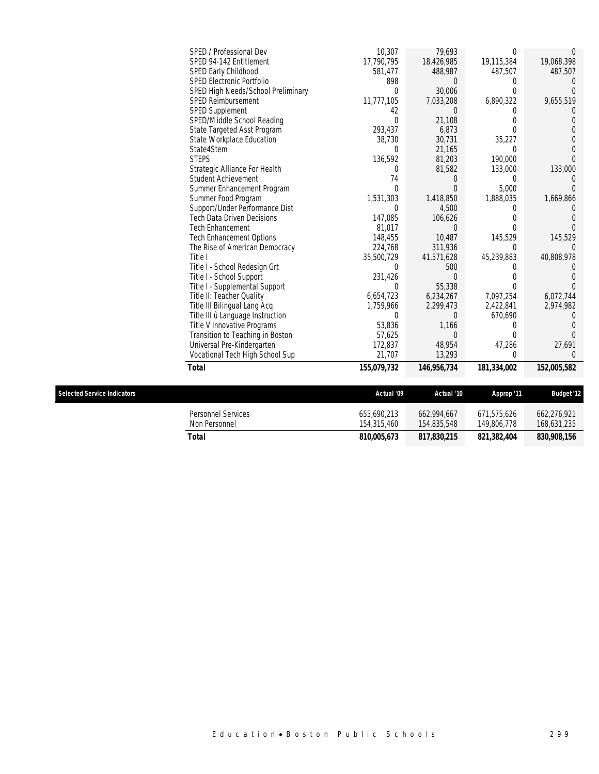| SPED / Professional Dev            | 10,307      | 79,693        |             |             |
|------------------------------------|-------------|---------------|-------------|-------------|
| SPED 94-142 Entitlement            | 17,790,795  | 18,426,985    | 19,115,384  | 19,068,398  |
| SPED Early Childhood               | 581,477     | 488,987       | 487,507     | 487,507     |
| <b>SPED Electronic Portfolio</b>   | 898         |               |             |             |
| SPED High Needs/School Preliminary | $\theta$    | 30,006        |             |             |
| <b>SPED Reimbursement</b>          | 11,777,105  | 7,033,208     | 6,890,322   | 9,655,519   |
| <b>SPED Supplement</b>             | 42          | $\Omega$      |             |             |
| SPED/Middle School Reading         | $\theta$    | 21,108        |             |             |
| State Targeted Asst Program        | 293,437     | 6,873         | 0           |             |
| State Workplace Education          | 38,730      | 30,731        | 35,227      |             |
| State4Stem                         | 0           | 21,165        | $\Omega$    |             |
| <b>STEPS</b>                       | 136,592     | 81,203        | 190,000     |             |
| Strategic Alliance For Health      | 0           | 81,582        | 133,000     | 133,000     |
| Student Achievement                | 74          |               |             |             |
| Summer Enhancement Program         | 0           |               | 5,000       |             |
| Summer Food Program                | 1,531,303   | 1,418,850     | 1,888,035   | 1,669,866   |
| Support/Under Performance Dist     | $\Omega$    | 4,500         |             |             |
| Tech Data Driven Decisions         | 147,085     | 106,626       |             |             |
| <b>Tech Enhancement</b>            | 81,017      | $\left($      |             |             |
| <b>Tech Enhancement Options</b>    | 148,455     | 10,487        | 145,529     | 145,529     |
| The Rise of American Democracy     | 224,768     | 311,936       | $\Omega$    |             |
| Title I                            | 35,500,729  | 41,571,628    | 45,239,883  | 40,808,978  |
| Title I - School Redesign Grt      | 0           | 500           |             |             |
| Title I - School Support           | 231,426     |               |             |             |
| Title I - Supplemental Support     | $\Omega$    | 55,338        | 0           |             |
| Title II: Teacher Quality          | 6,654,723   | 6,234,267     | 7,097,254   | 6,072,744   |
| Title III Bilingual Lang Acq       | 1,759,966   | 2,299,473     | 2,422,841   | 2,974,982   |
| Title III û Language Instruction   | 0           | $\left($      | 670,690     |             |
| Title V Innovative Programs        | 53,836      | 1,166         |             |             |
| Transition to Teaching in Boston   | 57,625      | $\Omega$      | 0           |             |
| Universal Pre-Kindergarten         | 172,837     | 48,954        | 47,286      | 27,691      |
| Vocational Tech High School Sup    | 21,707      | 13,293        | $\Omega$    |             |
| Total                              | 155,079,732 | 146, 956, 734 | 181,334,002 | 152,005,582 |

| <b>Selected Service Indicators</b>         | Actual '09                 | Actual '10                 | Approp '11                 | <b>Budget '12</b>          |
|--------------------------------------------|----------------------------|----------------------------|----------------------------|----------------------------|
| <b>Personnel Services</b><br>Non Personnel | 655.690.213<br>154.315.460 | 662.994.667<br>154,835,548 | 671.575.626<br>149,806,778 | 662.276.921<br>168,631,235 |
| Total                                      | 810,005,673                | 817,830,215                | 821.382.404                | 830,908,156                |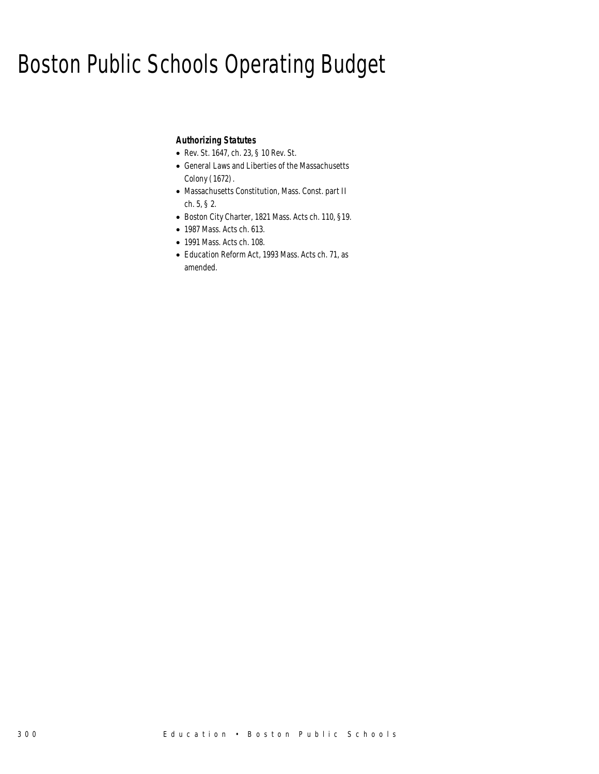# Boston Public Schools Operating Budget

### *Authorizing Statutes*

- Rev. St. 1647, ch. 23, § 10 Rev. St.
- General Laws and Liberties of the Massachusetts Colony (1672).
- Massachusetts Constitution, Mass. Const. part II ch. 5, § 2.
- Boston City Charter, 1821 Mass. Acts ch. 110, §19.
- 1987 Mass. Acts ch. 613.
- 1991 Mass. Acts ch. 108.
- Education Reform Act, 1993 Mass. Acts ch. 71, as amended.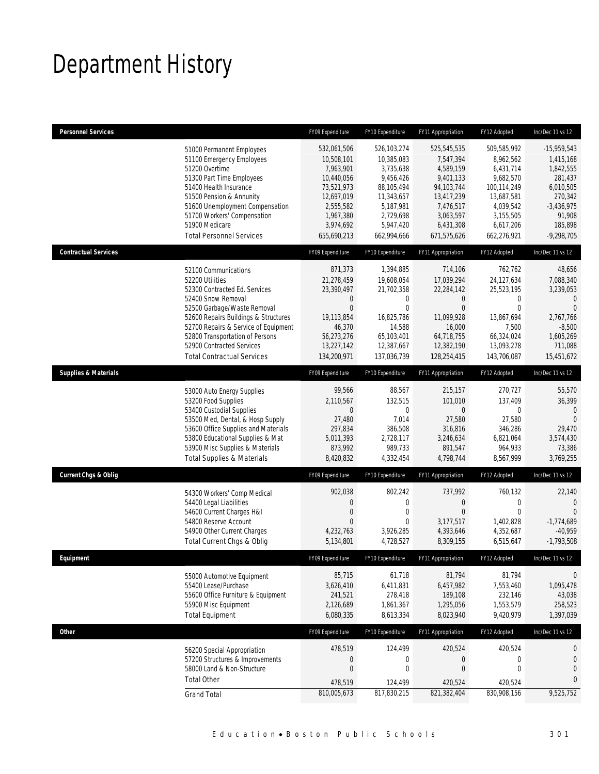# Department History

| <b>Personnel Services</b>       |                                                                | FY09 Expenditure            | FY10 Expenditure          | FY11 Appropriation        | FY12 Adopted              | Inc/Dec 11 vs 12               |
|---------------------------------|----------------------------------------------------------------|-----------------------------|---------------------------|---------------------------|---------------------------|--------------------------------|
|                                 | 51000 Permanent Employees                                      | 532,061,506                 | 526,103,274               | 525,545,535               | 509,585,992               | $-15,959,543$                  |
|                                 | 51100 Emergency Employees                                      | 10,508,101                  | 10,385,083                | 7,547,394                 | 8,962,562                 | 1,415,168                      |
|                                 | 51200 Overtime                                                 | 7,963,901                   | 3,735,638                 | 4,589,159                 | 6,431,714                 | 1,842,555                      |
|                                 | 51300 Part Time Employees<br>51400 Health Insurance            | 10,440,056<br>73,521,973    | 9,456,426<br>88,105,494   | 9,401,133<br>94,103,744   | 9,682,570<br>100,114,249  | 281,437<br>6,010,505           |
|                                 | 51500 Pension & Annunity                                       | 12,697,019                  | 11,343,657                | 13,417,239                | 13,687,581                | 270,342                        |
|                                 | 51600 Unemployment Compensation                                | 2,555,582                   | 5,187,981                 | 7,476,517                 | 4,039,542                 | $-3,436,975$                   |
|                                 | 51700 Workers' Compensation                                    | 1,967,380                   | 2,729,698                 | 3,063,597                 | 3,155,505                 | 91,908                         |
|                                 | 51900 Medicare                                                 | 3,974,692                   | 5,947,420                 | 6,431,308                 | 6,617,206                 | 185,898                        |
|                                 | <b>Total Personnel Services</b>                                | 655,690,213                 | 662,994,666               | 671,575,626               | 662,276,921               | $-9,298,705$                   |
| <b>Contractual Services</b>     |                                                                | FY09 Expenditure            | FY10 Expenditure          | FY11 Appropriation        | FY12 Adopted              | Inc/Dec 11 vs 12               |
|                                 | 52100 Communications                                           | 871,373                     | 1,394,885                 | 714,106                   | 762,762                   | 48,656                         |
|                                 | 52200 Utilities                                                | 21,278,459                  | 19,608,054                | 17,039,294                | 24,127,634                | 7,088,340                      |
|                                 | 52300 Contracted Ed. Services<br>52400 Snow Removal            | 23,390,497<br>$\mathbf 0$   | 21,702,358<br>0           | 22,284,142<br>0           | 25,523,195<br>0           | 3,239,053<br>$\Omega$          |
|                                 | 52500 Garbage/Waste Removal                                    | $\overline{0}$              | $\overline{0}$            | $\mathbf{0}$              | $\mathbf{0}$              | $\overline{0}$                 |
|                                 | 52600 Repairs Buildings & Structures                           | 19,113,854                  | 16.825.786                | 11,099,928                | 13.867.694                | 2,767,766                      |
|                                 | 52700 Repairs & Service of Equipment                           | 46,370                      | 14,588                    | 16,000                    | 7,500                     | $-8,500$                       |
|                                 | 52800 Transportation of Persons                                | 56,273,276                  | 65,103,401                | 64,718,755                | 66,324,024                | 1,605,269                      |
|                                 | 52900 Contracted Services<br><b>Total Contractual Services</b> | 13,227,142<br>134,200,971   | 12,387,667<br>137,036,739 | 12,382,190<br>128,254,415 | 13,093,278<br>143,706,087 | 711,088<br>15,451,672          |
|                                 |                                                                |                             |                           |                           |                           |                                |
| <b>Supplies &amp; Materials</b> |                                                                | FY09 Expenditure            | FY10 Expenditure          | FY11 Appropriation        | FY12 Adopted              | Inc/Dec 11 vs 12               |
|                                 | 53000 Auto Energy Supplies                                     | 99,566                      | 88,567                    | 215,157                   | 270,727                   | 55,570                         |
|                                 | 53200 Food Supplies                                            | 2,110,567<br>$\overline{0}$ | 132,515                   | 101,010                   | 137,409                   | 36,399                         |
|                                 | 53400 Custodial Supplies<br>53500 Med, Dental, & Hosp Supply   | 27,480                      | 0<br>7,014                | $\overline{0}$<br>27,580  | $\mathbf{0}$<br>27,580    | $\Omega$<br>$\Omega$           |
|                                 | 53600 Office Supplies and Materials                            | 297,834                     | 386,508                   | 316,816                   | 346,286                   | 29,470                         |
|                                 | 53800 Educational Supplies & Mat                               | 5,011,393                   | 2,728,117                 | 3,246,634                 | 6,821,064                 | 3,574,430                      |
|                                 | 53900 Misc Supplies & Materials                                | 873,992                     | 989,733                   | 891,547                   | 964,933                   | 73,386                         |
|                                 | <b>Total Supplies &amp; Materials</b>                          | 8,420,832                   | 4,332,454                 | 4,798,744                 | 8,567,999                 | 3,769,255                      |
| <b>Current Chgs &amp; Oblig</b> |                                                                | FY09 Expenditure            | FY10 Expenditure          | FY11 Appropriation        | FY12 Adopted              | Inc/Dec 11 vs 12               |
|                                 | 54300 Workers' Comp Medical                                    | 902,038                     | 802,242                   | 737,992                   | 760,132                   | 22,140                         |
|                                 | 54400 Legal Liabilities                                        | 0                           | $\mathbf 0$               | 0                         | 0                         | $\mathbf{0}$                   |
|                                 | 54600 Current Charges H&I<br>54800 Reserve Account             | 0<br>$\Omega$               | 0<br>0                    | $\boldsymbol{0}$          | $\mathbf{0}$              | $\overline{0}$<br>$-1.774.689$ |
|                                 | 54900 Other Current Charges                                    | 4,232,763                   | 3,926,285                 | 3,177,517<br>4,393,646    | 1,402,828<br>4,352,687    | $-40,959$                      |
|                                 | Total Current Chgs & Oblig                                     | 5,134,801                   | 4,728,527                 | 8,309,155                 | 6,515,647                 | $-1,793,508$                   |
| <b>Fauinment</b>                |                                                                | <b>FY09 Exnenditure</b>     | FY10 Expenditure          | FY11 Appropriation        | FY12 Adonted              | Inc/Dec 11 vs 12               |
|                                 | 55000 Automotive Equipment                                     | 85,715                      | 61,718                    | 81,794                    | 81,794                    | 0                              |
|                                 | 55400 Lease/Purchase                                           | 3,626,410                   | 6,411,831                 | 6,457,982                 | 7,553,460                 | 1,095,478                      |
|                                 | 55600 Office Furniture & Equipment                             | 241,521                     | 278,418                   | 189,108                   | 232,146                   | 43,038                         |
|                                 | 55900 Misc Equipment                                           | 2,126,689                   | 1,861,367                 | 1,295,056                 | 1,553,579                 | 258,523                        |
|                                 | <b>Total Equipment</b>                                         | 6,080,335                   | 8,613,334                 | 8,023,940                 | 9,420,979                 | 1,397,039                      |
| <b>Other</b>                    |                                                                | FY09 Expenditure            | FY10 Expenditure          | FY11 Appropriation        | FY12 Adopted              | Inc/Dec 11 vs 12               |
|                                 | 56200 Special Appropriation                                    | 478,519                     | 124,499                   | 420,524                   | 420,524                   | $\mathbf 0$                    |
|                                 | 57200 Structures & Improvements                                | $\boldsymbol{0}$            | $\boldsymbol{0}$          | $\boldsymbol{0}$          | $\boldsymbol{0}$          | $\mathbf{0}$                   |
|                                 | 58000 Land & Non-Structure                                     | $\mathbf 0$                 | $\mathbf 0$               | $\boldsymbol{0}$          | $\mathbf 0$               | $\mathbf 0$                    |
|                                 | <b>Total Other</b>                                             | 478,519                     | 124,499                   | 420,524                   | 420,524                   | $\overline{0}$                 |
|                                 | <b>Grand Total</b>                                             | 810,005,673                 | 817,830,215               | 821,382,404               | 830,908,156               | 9,525,752                      |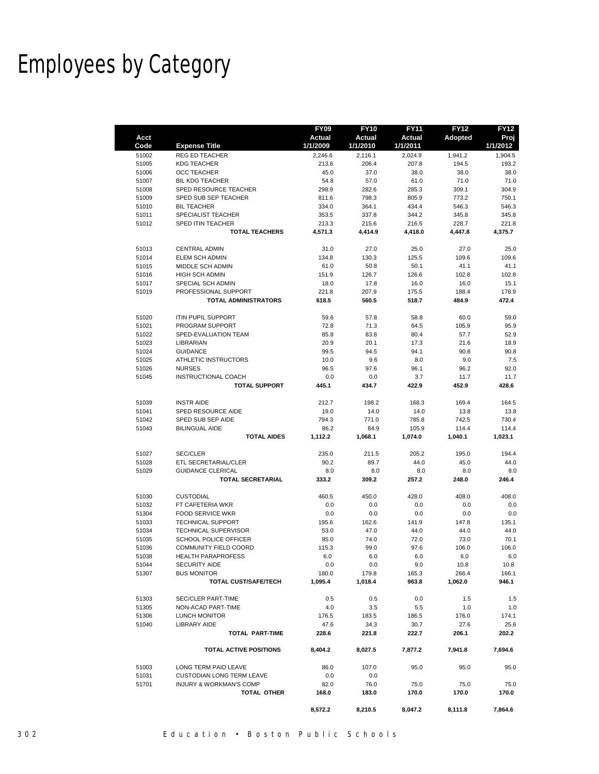# Employees by Category

|              |                                    | <b>FY09</b>               | <b>FY10</b>        | <b>FY11</b>        | <b>FY12</b> | <b>FY12</b>      |
|--------------|------------------------------------|---------------------------|--------------------|--------------------|-------------|------------------|
| Acct<br>Code | <b>Expense Title</b>               | <b>Actual</b><br>1/1/2009 | Actual<br>1/1/2010 | Actual<br>1/1/2011 | Adopted     | Proj<br>1/1/2012 |
| 51002        | <b>REG ED TEACHER</b>              | 2,246.6                   | 2,116.1            | 2,024.9            | 1,941.2     | 1,904.5          |
| 51005        | <b>KDG TEACHER</b>                 | 213.6                     | 206.4              | 207.8              | 194.5       | 193.2            |
| 51006        | <b>OCC TEACHER</b>                 | 45.0                      | 37.0               | 38.0               | 38.0        | 38.0             |
| 51007        | <b>BIL KDG TEACHER</b>             | 54.8                      | 57.0               | 61.0               | 71.0        | 71.0             |
| 51008        | SPED RESOURCE TEACHER              | 298.9                     | 282.6              | 285.3              | 309.1       | 304.9            |
| 51009        | SPED SUB SEP TEACHER               | 811.6                     | 798.3              | 805.9              | 773.2       | 750.1            |
| 51010        | <b>BIL TEACHER</b>                 | 334.0                     | 364.1              | 434.4              | 546.3       | 546.3            |
| 51011        | SPECIALIST TEACHER                 | 353.5                     | 337.8              | 344.2              | 345.8       | 345.8            |
| 51012        | SPED ITIN TEACHER                  | 213.3                     | 215.6              | 216.5              | 228.7       | 221.8            |
|              | <b>TOTAL TEACHERS</b>              | 4,571.3                   | 4,414.9            | 4,418.0            | 4,447.8     | 4,375.7          |
| 51013        | <b>CENTRAL ADMIN</b>               | 31.0                      | 27.0               | 25.0               | 27.0        | 25.0             |
| 51014        | <b>ELEM SCH ADMIN</b>              | 134.8                     | 130.3              | 125.5              | 109.6       | 109.6            |
| 51015        | MIDDLE SCH ADMIN                   | 61.0                      | 50.8               | 50.1               | 41.1        | 41.1             |
| 51016        | <b>HIGH SCH ADMIN</b>              | 151.9                     | 126.7              | 126.6              | 102.8       | 102.8            |
| 51017        | SPECIAL SCH ADMIN                  | 18.0                      | 17.8               | 16.0               | 16.0        | 15.1             |
| 51019        | PROFESSIONAL SUPPORT               | 221.8                     | 207.9              | 175.5              | 188.4       | 178.9            |
|              | <b>TOTAL ADMINISTRATORS</b>        | 618.5                     | 560.5              | 518.7              | 484.9       | 472.4            |
| 51020        | <b>ITIN PUPIL SUPPORT</b>          | 59.6                      | 57.8               | 58.8               | 60.0        | 59.0             |
| 51021        | PROGRAM SUPPORT                    | 72.8                      | 71.3               | 64.5               | 105.9       | 95.9             |
| 51022        | SPED-EVALUATION TEAM               | 85.8                      | 83.8               | 80.4               | 57.7        | 52.9             |
| 51023        | LIBRARIAN                          | 20.9                      | 20.1               | 17.3               | 21.6        | 18.9             |
| 51024        | <b>GUIDANCE</b>                    | 99.5                      | 94.5               | 94.1               | 90.8        | 90.8             |
| 51025        | ATHLETIC INSTRUCTORS               | 10.0                      | 9.6                | 8.0                | 9.0         | 7.5              |
| 51026        | <b>NURSES</b>                      | 96.5                      | 97.6               | 96.1               | 96.2        | 92.0             |
| 51045        | INSTRUCTIONAL COACH                | 0.0                       | 0.0                | 3.7                | 11.7        | 11.7             |
|              | <b>TOTAL SUPPORT</b>               | 445.1                     | 434.7              | 422.9              | 452.9       | 428.6            |
| 51039        | <b>INSTR AIDE</b>                  | 212.7                     | 198.2              | 168.3              | 169.4       | 164.5            |
| 51041        | SPED RESOURCE AIDE                 | 19.0                      | 14.0               | 14.0               | 13.8        | 13.8             |
| 51042        | SPED SUB SEP AIDE                  | 794.3                     | 771.0              | 785.8              | 742.5       | 730.4            |
| 51043        | <b>BILINGUAL AIDE</b>              | 86.2                      | 84.9               | 105.9              | 114.4       | 114.4            |
|              | <b>TOTAL AIDES</b>                 | 1,112.2                   | 1,068.1            | 1,074.0            | 1,040.1     | 1,023.1          |
| 51027        | <b>SEC/CLER</b>                    | 235.0                     | 211.5              | 205.2              | 195.0       | 194.4            |
| 51028        | ETL SECRETARIAL/CLER               | 90.2                      | 89.7               | 44.0               | 45.0        | 44.0             |
| 51029        | <b>GUIDANCE CLERICAL</b>           | 8.0                       | 8.0                | 8.0                | 8.0         | 8.0              |
|              | <b>TOTAL SECRETARIAL</b>           | 333.2                     | 309.2              | 257.2              | 248.0       | 246.4            |
| 51030        | <b>CUSTODIAL</b>                   | 460.5                     | 450.0              | 428.0              | 408.0       | 408.0            |
| 51032        | FT CAFETERIA WKR                   | 0.0                       | 0.0                | 0.0                | 0.0         | 0.0              |
| 51304        | <b>FOOD SERVICE WKR</b>            | 0.0                       | 0.0                | 0.0                | 0.0         | 0.0              |
| 51033        | <b>TECHNICAL SUPPORT</b>           | 195.6                     | 162.6              | 141.9              | 147.8       | 135.1            |
| 51034        | <b>TECHNICAL SUPERVISOR</b>        | 53.0                      | 47.0               | 44.0               | 44.0        | 44.0             |
| 51035        | SCHOOL POLICE OFFICER              | 85.0                      | 74.0               | 72.0               | 73.0        | 70.1             |
| 51036        | COMMUNITY FIELD COORD              | 115.3                     | 99.0               | 97.6               | 106.0       | 106.0            |
| 51038        | <b>HEALTH PARAPROFESS</b>          | 6.0                       | 6.0                | 6.0                | 6.0         | 6.0              |
| 51044        | <b>SECURITY AIDE</b>               | 0.0                       | 0.0                | 9.0                | 10.8        | 10.8             |
| 51307        | <b>BUS MONITOR</b>                 | 180.0                     | 179.8              | 165.3              | 266.4       | 166.1            |
|              | TOTAL CUST/SAFE/TECH               | 1,095.4                   | 1,018.4            | 963.8              | 1,062.0     | 946.1            |
| 51303        | <b>SEC/CLER PART-TIME</b>          | 0.5                       | 0.5                | 0.0                | 1.5         | 1.5              |
| 51305        | NON-ACAD PART-TIME                 | 4.0                       | 3.5                | 5.5                | 1.0         | 1.0              |
| 51306        | <b>LUNCH MONITOR</b>               | 176.5                     | 183.5              | 186.5              | 176.0       | 174.1            |
| 51040        | <b>LIBRARY AIDE</b>                | 47.6                      | 34.3               | 30.7               | 27.6        | 25.6             |
|              | <b>TOTAL PART-TIME</b>             | 228.6                     | 221.8              | 222.7              | 206.1       | 202.2            |
|              | <b>TOTAL ACTIVE POSITIONS</b>      | 8,404.2                   | 8,027.5            | 7,877.2            | 7,941.8     | 7,694.6          |
| 51003        | LONG TERM PAID LEAVE               | 86.0                      | 107.0              | 95.0               | 95.0        | 95.0             |
| 51031        | <b>CUSTODIAN LONG TERM LEAVE</b>   | 0.0                       | 0.0                |                    |             |                  |
| 51701        | <b>INJURY &amp; WORKMAN'S COMP</b> | 82.0                      | 76.0               | 75.0               | 75.0        | 75.0             |
|              | TOTAL OTHER                        | 168.0                     | 183.0              | 170.0              | 170.0       | 170.0            |
|              |                                    | 8,572.2                   | 8,210.5            | 8,047.2            | 8,111.8     | 7,864.6          |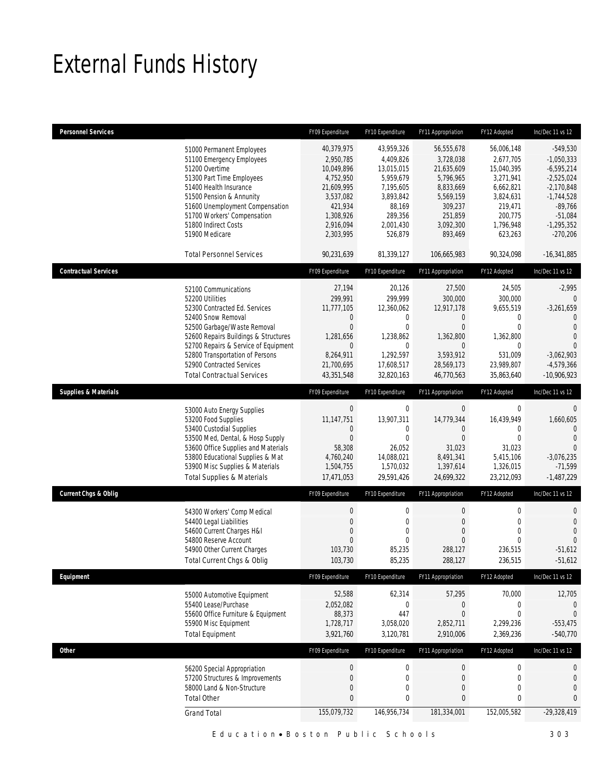# External Funds History

| <b>Personnel Services</b>       |                                                                                                                                                                                                                                                                                                                    | FY09 Expenditure                                                                                                                | FY10 Expenditure                                                                                                          | FY11 Appropriation                                                                                                               | FY12 Adopted                                                                                                               | Inc/Dec 11 vs 12                                                                                                                                    |
|---------------------------------|--------------------------------------------------------------------------------------------------------------------------------------------------------------------------------------------------------------------------------------------------------------------------------------------------------------------|---------------------------------------------------------------------------------------------------------------------------------|---------------------------------------------------------------------------------------------------------------------------|----------------------------------------------------------------------------------------------------------------------------------|----------------------------------------------------------------------------------------------------------------------------|-----------------------------------------------------------------------------------------------------------------------------------------------------|
|                                 | 51000 Permanent Employees<br>51100 Emergency Employees<br>51200 Overtime<br>51300 Part Time Employees<br>51400 Health Insurance<br>51500 Pension & Annunity<br>51600 Unemployment Compensation<br>51700 Workers' Compensation<br>51800 Indirect Costs<br>51900 Medicare                                            | 40,379,975<br>2,950,785<br>10,049,896<br>4,752,950<br>21,609,995<br>3,537,082<br>421,934<br>1,308,926<br>2,916,094<br>2,303,995 | 43,959,326<br>4,409,826<br>13,015,015<br>5,959,679<br>7,195,605<br>3,893,842<br>88,169<br>289,356<br>2,001,430<br>526,879 | 56,555,678<br>3,728,038<br>21,635,609<br>5,796,965<br>8,833,669<br>5,569,159<br>309,237<br>251,859<br>3,092,300<br>893,469       | 56,006,148<br>2,677,705<br>15,040,395<br>3,271,941<br>6,662,821<br>3,824,631<br>219,471<br>200,775<br>1,796,948<br>623,263 | $-549,530$<br>$-1,050,333$<br>$-6,595,214$<br>$-2,525,024$<br>$-2,170,848$<br>$-1,744,528$<br>$-89,766$<br>$-51,084$<br>$-1,295,352$<br>$-270,206$  |
|                                 | <b>Total Personnel Services</b>                                                                                                                                                                                                                                                                                    | 90,231,639                                                                                                                      | 81,339,127                                                                                                                | 106,665,983                                                                                                                      | 90,324,098                                                                                                                 | $-16,341,885$                                                                                                                                       |
| <b>Contractual Services</b>     |                                                                                                                                                                                                                                                                                                                    | FY09 Expenditure                                                                                                                | FY10 Expenditure                                                                                                          | FY11 Appropriation                                                                                                               | FY12 Adopted                                                                                                               | Inc/Dec 11 vs 12                                                                                                                                    |
|                                 | 52100 Communications<br>52200 Utilities<br>52300 Contracted Ed. Services<br>52400 Snow Removal<br>52500 Garbage/Waste Removal<br>52600 Repairs Buildings & Structures<br>52700 Repairs & Service of Equipment<br>52800 Transportation of Persons<br>52900 Contracted Services<br><b>Total Contractual Services</b> | 27,194<br>299,991<br>11,777,105<br>0<br>$\boldsymbol{0}$<br>1,281,656<br>0<br>8,264,911<br>21,700,695<br>43,351,548             | 20,126<br>299,999<br>12,360,062<br>0<br>0<br>1,238,862<br>0<br>1,292,597<br>17,608,517<br>32,820,163                      | 27,500<br>300,000<br>12,917,178<br>$\mathbf 0$<br>$\theta$<br>1,362,800<br>$\mathbf{0}$<br>3,593,912<br>28,569,173<br>46,770,563 | 24,505<br>300,000<br>9,655,519<br>0<br>0<br>1,362,800<br>0<br>531.009<br>23,989,807<br>35,863,640                          | $-2,995$<br>$\Omega$<br>$-3,261,659$<br>$\mathbf{0}$<br>$\mathbf{0}$<br>$\overline{0}$<br>$\Omega$<br>$-3,062,903$<br>$-4,579,366$<br>$-10,906,923$ |
| <b>Supplies &amp; Materials</b> |                                                                                                                                                                                                                                                                                                                    | FY09 Expenditure                                                                                                                | FY10 Expenditure                                                                                                          | FY11 Appropriation                                                                                                               | FY12 Adopted                                                                                                               | Inc/Dec 11 vs 12                                                                                                                                    |
|                                 | 53000 Auto Energy Supplies<br>53200 Food Supplies<br>53400 Custodial Supplies<br>53500 Med, Dental, & Hosp Supply<br>53600 Office Supplies and Materials<br>53800 Educational Supplies & Mat<br>53900 Misc Supplies & Materials<br><b>Total Supplies &amp; Materials</b>                                           | $\pmb{0}$<br>11,147,751<br>0<br>$\theta$<br>58,308<br>4,760,240<br>1,504,755<br>17,471,053                                      | 0<br>13,907,311<br>0<br>$\Omega$<br>26,052<br>14,088,021<br>1,570,032<br>29,591,426                                       | $\theta$<br>14,779,344<br>0<br>$\overline{0}$<br>31,023<br>8,491,341<br>1,397,614<br>24,699,322                                  | 0<br>16,439,949<br>0<br>$\theta$<br>31,023<br>5,415,106<br>1,326,015<br>23,212,093                                         | 0<br>1,660,605<br>$\Omega$<br>$\Omega$<br>$\overline{0}$<br>$-3,076,235$<br>$-71,599$<br>$-1,487,229$                                               |
| <b>Current Chgs &amp; Oblig</b> |                                                                                                                                                                                                                                                                                                                    | FY09 Expenditure                                                                                                                | FY10 Expenditure                                                                                                          | FY11 Appropriation                                                                                                               | FY12 Adopted                                                                                                               | Inc/Dec 11 vs 12                                                                                                                                    |
|                                 | 54300 Workers' Comp Medical<br>54400 Legal Liabilities<br>54600 Current Charges H&I<br>54800 Reserve Account<br>54900 Other Current Charges<br>Total Current Chgs & Oblig                                                                                                                                          | $\boldsymbol{0}$<br>$\boldsymbol{0}$<br>0<br>0<br>103,730<br>103,730                                                            | $\boldsymbol{0}$<br>0<br>$\mathbf{0}$<br>$\overline{0}$<br>85,235<br>85,235                                               | $\mathbf 0$<br>$\theta$<br>$\theta$<br>$\overline{0}$<br>288,127<br>288,127                                                      | $\mathbf 0$<br>$\mathbf{0}$<br>$\mathbf{0}$<br>$\overline{0}$<br>236,515<br>236,515                                        | 0<br>$\mathbf{0}$<br>$\overline{0}$<br>$\overline{0}$<br>$-51,612$<br>$-51,612$                                                                     |
| Equipment                       |                                                                                                                                                                                                                                                                                                                    | FY09 Expenditure                                                                                                                | FY10 Expenditure                                                                                                          | FY11 Appropriation                                                                                                               | FY12 Adopted                                                                                                               | Inc/Dec 11 vs 12                                                                                                                                    |
|                                 | 55000 Automotive Equipment<br>55400 Lease/Purchase<br>55600 Office Furniture & Equipment<br>55900 Misc Equipment<br><b>Total Equipment</b>                                                                                                                                                                         | 52,588<br>2,052,082<br>88,373<br>1,728,717<br>3,921,760                                                                         | 62,314<br>0<br>447<br>3,058,020<br>3,120,781                                                                              | 57,295<br>$\boldsymbol{0}$<br>$\mathbf 0$<br>2,852,711<br>2,910,006                                                              | 70,000<br>0<br>$\boldsymbol{0}$<br>2,299,236<br>2,369,236                                                                  | 12,705<br>0<br>$\mathbf{0}$<br>$-553,475$<br>$-540,770$                                                                                             |
| <b>Other</b>                    |                                                                                                                                                                                                                                                                                                                    | FY09 Expenditure                                                                                                                | FY10 Expenditure                                                                                                          | FY11 Appropriation                                                                                                               | FY12 Adopted                                                                                                               | Inc/Dec 11 vs 12                                                                                                                                    |
|                                 | 56200 Special Appropriation<br>57200 Structures & Improvements<br>58000 Land & Non-Structure<br><b>Total Other</b>                                                                                                                                                                                                 | $\boldsymbol{0}$<br>$\boldsymbol{0}$<br>$\boldsymbol{0}$<br>0<br>155,079,732                                                    | $\boldsymbol{0}$<br>$\boldsymbol{0}$<br>0<br>0<br>146,956,734                                                             | $\boldsymbol{0}$<br>$\boldsymbol{0}$<br>$\theta$<br>$\bf{0}$<br>181,334,001                                                      | 0<br>$\boldsymbol{0}$<br>$\mathbf 0$<br>0<br>152,005,582                                                                   | 0<br>$\mathbf 0$<br>$\mathbf 0$<br>0<br>$-29,328,419$                                                                                               |
|                                 | <b>Grand Total</b>                                                                                                                                                                                                                                                                                                 |                                                                                                                                 |                                                                                                                           |                                                                                                                                  |                                                                                                                            |                                                                                                                                                     |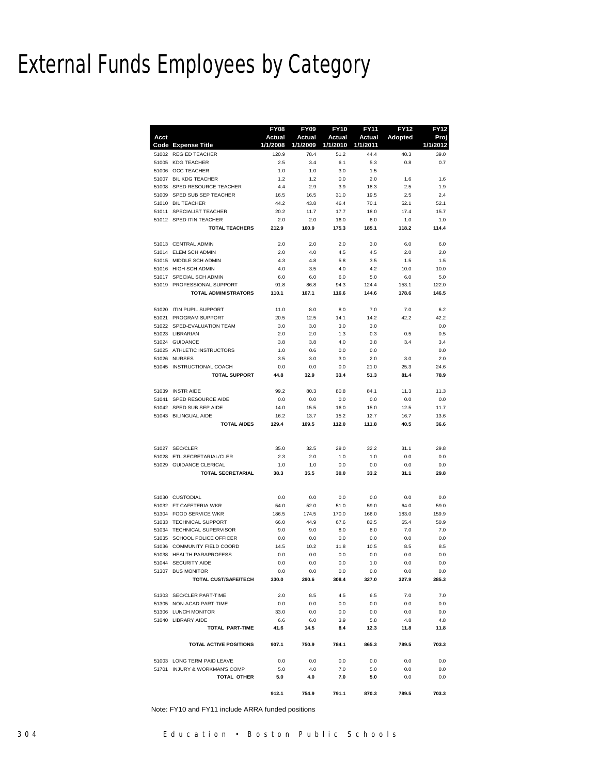Note: FY10 and FY11 include ARRA funded positions

External Funds Employees by Category

|       |                                                     | FY08        | <b>FY09</b> | <b>FY10</b> | <b>FY11</b>   | <b>FY12</b> | <b>FY12</b> |
|-------|-----------------------------------------------------|-------------|-------------|-------------|---------------|-------------|-------------|
| Acct  |                                                     | Actual      | Actual      | Actual      | <b>Actual</b> | Adopted     | Proj        |
|       | <b>Code Expense Title</b>                           | 1/1/2008    | 1/1/2009    | 1/1/2010    | 1/1/2011      |             | 1/1/2012    |
| 51002 | <b>REG ED TEACHER</b>                               | 120.9       | 78.4        | 51.2        | 44.4          | 40.3        | 39.0        |
| 51005 | <b>KDG TEACHER</b>                                  | 2.5         | 3.4         | 6.1         | 5.3           | 0.8         | 0.7         |
| 51007 | 51006 OCC TEACHER<br><b>BIL KDG TEACHER</b>         | 1.0<br>1.2  | 1.0<br>1.2  | 3.0<br>0.0  | 1.5<br>2.0    | 1.6         | 1.6         |
|       | 51008 SPED RESOURCE TEACHER                         | 4.4         | 2.9         | 3.9         | 18.3          | 2.5         | 1.9         |
| 51009 | SPED SUB SEP TEACHER                                | 16.5        | 16.5        | 31.0        | 19.5          | 2.5         | 2.4         |
|       | 51010 BIL TEACHER                                   | 44.2        | 43.8        | 46.4        | 70.1          | 52.1        | 52.1        |
|       | 51011 SPECIALIST TEACHER                            | 20.2        | 11.7        | 17.7        | 18.0          | 17.4        | 15.7        |
|       | 51012 SPED ITIN TEACHER                             | 2.0         | 2.0         | 16.0        | 6.0           | 1.0         | 1.0         |
|       | <b>TOTAL TEACHERS</b>                               | 212.9       | 160.9       | 175.3       | 185.1         | 118.2       | 114.4       |
|       | 51013 CENTRAL ADMIN                                 | 2.0         | 2.0         | 2.0         | 3.0           | 6.0         | 6.0         |
|       | 51014 ELEM SCH ADMIN                                | 2.0         | 4.0         | 4.5         | 4.5           | 2.0         | 2.0         |
|       | 51015 MIDDLE SCH ADMIN                              | 4.3         | 4.8         | 5.8         | 3.5           | 1.5         | 1.5         |
|       | 51016 HIGH SCH ADMIN                                | 4.0         | 3.5         | 4.0         | 4.2           | 10.0        | 10.0        |
|       | 51017 SPECIAL SCH ADMIN                             | 6.0         | 6.0         | 6.0         | 5.0           | 6.0         | 5.0         |
|       | 51019 PROFESSIONAL SUPPORT                          | 91.8        | 86.8        | 94.3        | 124.4         | 153.1       | 122.0       |
|       | <b>TOTAL ADMINISTRATORS</b>                         | 110.1       | 107.1       | 116.6       | 144.6         | 178.6       | 146.5       |
|       | 51020 ITIN PUPIL SUPPORT                            | 11.0        | 8.0         | 8.0         | 7.0           | 7.0         | 6.2         |
|       | 51021 PROGRAM SUPPORT<br>51022 SPED-EVALUATION TEAM | 20.5<br>3.0 | 12.5<br>3.0 | 14.1<br>3.0 | 14.2<br>3.0   | 42.2        | 42.2<br>0.0 |
|       | 51023 LIBRARIAN                                     | 2.0         | 2.0         | 1.3         | 0.3           | 0.5         | 0.5         |
|       | 51024 GUIDANCE                                      | 3.8         | 3.8         | 4.0         | 3.8           | 3.4         | 3.4         |
| 51025 | ATHLETIC INSTRUCTORS                                | 1.0         | 0.6         | 0.0         | 0.0           |             | 0.0         |
|       | 51026 NURSES                                        | 3.5         | 3.0         | 3.0         | 2.0           | 3.0         | 2.0         |
|       | 51045 INSTRUCTIONAL COACH                           | 0.0         | 0.0         | 0.0         | 21.0          | 25.3        | 24.6        |
|       | <b>TOTAL SUPPORT</b>                                | 44.8        | 32.9        | 33.4        | 51.3          | 81.4        | 78.9        |
|       | 51039 INSTR AIDE                                    | 99.2        | 80.3        | 80.8        | 84.1          | 11.3        | 11.3        |
|       | 51041 SPED RESOURCE AIDE                            | 0.0         | 0.0         | 0.0         | 0.0           | 0.0         | 0.0         |
|       | 51042 SPED SUB SEP AIDE                             | 14.0        | 15.5        | 16.0        | 15.0          | 12.5        | 11.7        |
|       | 51043 BILINGUAL AIDE                                | 16.2        | 13.7        | 15.2        | 12.7          | 16.7        | 13.6        |
|       | <b>TOTAL AIDES</b>                                  | 129.4       | 109.5       | 112.0       | 111.8         | 40.5        | 36.6        |
|       | 51027 SEC/CLER                                      | 35.0        | 32.5        | 29.0        | 32.2          | 31.1        | 29.8        |
|       | 51028 ETL SECRETARIAL/CLER                          | 2.3         | 2.0         | 1.0         | 1.0           | 0.0         | 0.0         |
| 51029 | <b>GUIDANCE CLERICAL</b>                            | 1.0         | 1.0         | 0.0         | 0.0           | 0.0         | 0.0         |
|       | <b>TOTAL SECRETARIAL</b>                            | 38.3        | 35.5        | 30.0        | 33.2          | 31.1        | 29.8        |
|       |                                                     |             |             |             |               |             |             |
|       | 51030 CUSTODIAL                                     | 0.0         | 0.0         | 0.0         | 0.0           | 0.0         | 0.0         |
|       | 51032 FT CAFETERIA WKR                              | 54.0        | 52.0        | 51.0        | 59.0          | 64.0        | 59.0        |
|       | 51304 FOOD SERVICE WKR<br>51033 TECHNICAL SUPPORT   | 186.5       | 174.5       | 170.0       | 166.0         | 183.0       | 159.9       |
| 51034 | <b>TECHNICAL SUPERVISOR</b>                         | 66.0        | 44.9        | 67.6<br>8.0 | 82.5<br>8.0   | 65.4<br>7.0 | 50.9<br>7.0 |
| 51035 | SCHOOL POLICE OFFICER                               | 9.0<br>0.0  | 9.0<br>0.0  | 0.0         | 0.0           | 0.0         | 0.0         |
| 51036 | COMMUNITY FIELD COORD                               | 14.5        | 10.2        | 11.8        | 10.5          | 8.5         | 8.5         |
|       | 51038 HEALTH PARAPROFESS                            | 0.0         | 0.0         | 0.0         | 0.0           | 0.0         | 0.0         |
|       | 51044 SECURITY AIDE                                 | 0.0         | 0.0         | 0.0         | 1.0           | 0.0         | 0.0         |
|       | 51307 BUS MONITOR                                   | 0.0         | 0.0         | 0.0         | 0.0           | 0.0         | 0.0         |
|       | TOTAL CUST/SAFE/TECH                                | 330.0       | 290.6       | 308.4       | 327.0         | 327.9       | 285.3       |
|       | 51303 SEC/CLER PART-TIME                            | 2.0         | 8.5         | 4.5         | 6.5           | 7.0         | 7.0         |
|       | 51305 NON-ACAD PART-TIME                            | 0.0         | 0.0         | 0.0         | 0.0           | 0.0         | 0.0         |
|       | 51306 LUNCH MONITOR                                 | 33.0        | 0.0         | 0.0         | 0.0           | 0.0         | 0.0         |
|       | 51040 LIBRARY AIDE                                  | 6.6         | 6.0         | 3.9         | 5.8           | 4.8         | 4.8         |
|       | TOTAL PART-TIME                                     | 41.6        | 14.5        | 8.4         | 12.3          | 11.8        | 11.8        |
|       | TOTAL ACTIVE POSITIONS                              | 907.1       | 750.9       | 784.1       | 865.3         | 789.5       | 703.3       |
|       | 51003 LONG TERM PAID LEAVE                          | 0.0         | 0.0         | 0.0         | 0.0           | 0.0         | 0.0         |
|       | 51701 INJURY & WORKMAN'S COMP                       | 5.0         | 4.0         | 7.0         | 5.0           | 0.0         | 0.0         |
|       | TOTAL OTHER                                         | 5.0         | 4.0         | 7.0         | 5.0           | 0.0         | 0.0         |
|       |                                                     | 912.1       | 754.9       | 791.1       | 870.3         | 789.5       | 703.3       |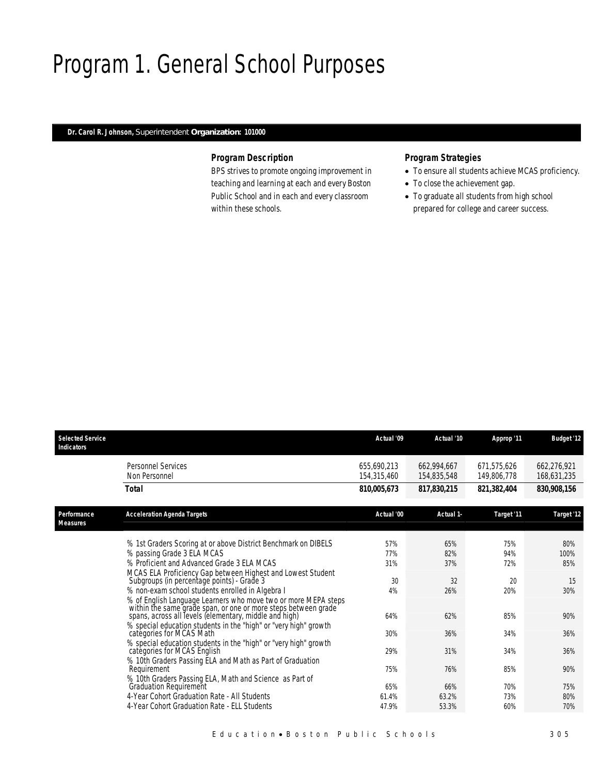# Program 1. General School Purposes

#### *Dr. Carol R. Johnson, Superintendent Organization: 101000*

### *Program Description*

BPS strives to promote ongoing improvement in teaching and learning at each and every Boston Public School and in each and every classroom within these schools.

### *Program Strategies*

- To ensure all students achieve MCAS proficiency.
- To close the achievement gap.
- To graduate all students from high school prepared for college and career success.

| <b>Selected Service</b><br><b>Indicators</b> |                                                                                                                                                                                            | Actual '09                 | Actual '10                 | Approp '11                 | <b>Budget '12</b>          |
|----------------------------------------------|--------------------------------------------------------------------------------------------------------------------------------------------------------------------------------------------|----------------------------|----------------------------|----------------------------|----------------------------|
|                                              | <b>Personnel Services</b><br>Non Personnel                                                                                                                                                 | 655,690,213<br>154,315,460 | 662,994,667<br>154,835,548 | 671,575,626<br>149,806,778 | 662,276,921<br>168,631,235 |
|                                              | <b>Total</b>                                                                                                                                                                               | 810,005,673                | 817,830,215                | 821,382,404                | 830,908,156                |
| Performance<br><b>Measures</b>               | <b>Acceleration Agenda Targets</b>                                                                                                                                                         | Actual '00                 | Actual 1-                  | Target '11                 | Target '12                 |
|                                              |                                                                                                                                                                                            |                            |                            |                            |                            |
|                                              | % 1st Graders Scoring at or above District Benchmark on DIBELS                                                                                                                             | 57%<br>77%                 | 65%                        | 75%                        | 80%                        |
|                                              | % passing Grade 3 ELA MCAS<br>% Proficient and Advanced Grade 3 FLA MCAS                                                                                                                   | 31%                        | 82%<br>37%                 | 94%<br>72%                 | 100%<br>85%                |
|                                              |                                                                                                                                                                                            |                            |                            |                            |                            |
|                                              | MCAS ELA Proficiency Gap between Highest and Lowest Student<br>Subgroups (in percentage points) - Grade 3                                                                                  | 30                         | 32                         | 20                         | 15                         |
|                                              | % non-exam school students enrolled in Algebra I                                                                                                                                           | 4%                         | 26%                        | 20%                        | 30%                        |
|                                              | % of English Language Learners who move two or more MEPA steps<br>within the same grade span, or one or more steps between grade<br>spans, across all levels (elementary, middle and high) | 64%                        | 62%                        | 85%                        | 90%                        |
|                                              | % special education students in the "high" or "very high" growth                                                                                                                           |                            |                            |                            |                            |
|                                              | categories for MCAS Math                                                                                                                                                                   | 30%                        | 36%                        | 34%                        | 36%                        |
|                                              | % special education students in the "high" or "very high" growth<br>categories for MCAS English                                                                                            | 29%                        | 31%                        | 34%                        | 36%                        |
|                                              | % 10th Graders Passing ELA and Math as Part of Graduation<br>Requirement                                                                                                                   | 75%                        | 76%                        | 85%                        | 90%                        |
|                                              | % 10th Graders Passing ELA, Math and Science as Part of                                                                                                                                    |                            |                            |                            |                            |
|                                              | Graduation Requirement<br>4-Year Cohort Graduation Rate - All Students                                                                                                                     | 65%                        | 66%                        | 70%                        | 75%                        |
|                                              | 4-Year Cohort Graduation Rate - ELL Students                                                                                                                                               | 61.4%<br>47.9%             | 63.2%                      | 73%                        | 80%<br>70%                 |
|                                              |                                                                                                                                                                                            |                            | 53.3%                      | 60%                        |                            |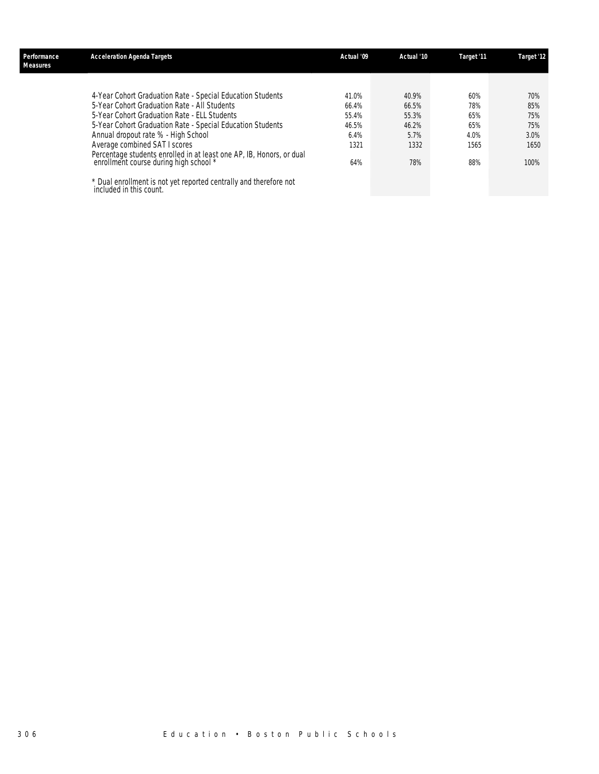| Performance<br>Measures | <b>Acceleration Agenda Targets</b>                                                                             | Actual '09 | Actual '10 | Target '11 | Target '12 |
|-------------------------|----------------------------------------------------------------------------------------------------------------|------------|------------|------------|------------|
|                         |                                                                                                                |            |            |            |            |
|                         | 4-Year Cohort Graduation Rate - Special Education Students                                                     | 41.0%      | 40.9%      | 60%        | 70%        |
|                         | 5-Year Cohort Graduation Rate - All Students                                                                   | 66.4%      | 66.5%      | 78%        | 85%        |
|                         | 5-Year Cohort Graduation Rate - ELL Students                                                                   | 55.4%      | 55.3%      | 65%        | 75%        |
|                         | 5-Year Cohort Graduation Rate - Special Education Students                                                     | 46.5%      | 46.2%      | 65%        | 75%        |
|                         | Annual dropout rate % - High School                                                                            | $6.4\%$    | 5.7%       | 4.0%       | 3.0%       |
|                         | Average combined SAT I scores                                                                                  | 1321       | 1332       | 1565       | 1650       |
|                         | Percentage students enrolled in at least one AP, IB, Honors, or dual<br>enrollment course during high school * | 64%        | 78%        | 88%        | 100%       |
|                         | * Dual enrollment is not yet reported centrally and therefore not included in this count.                      |            |            |            |            |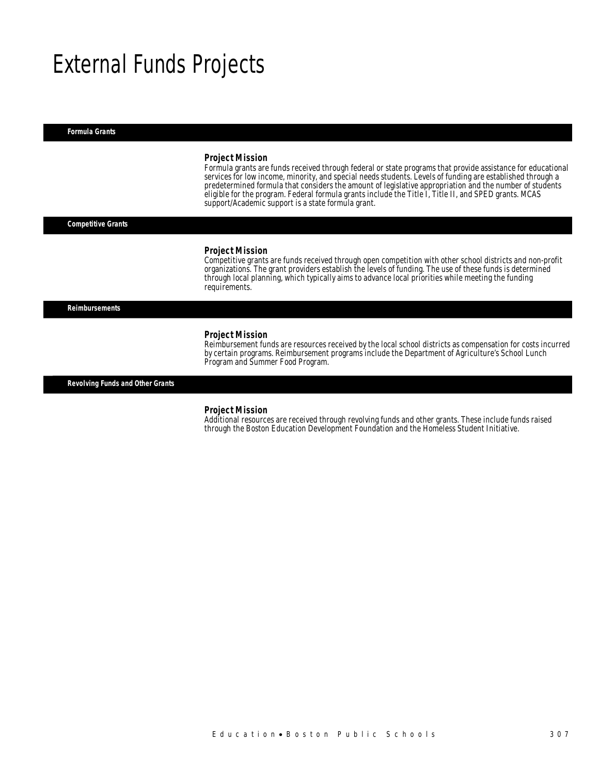# External Funds Projects

*Formula Grants* 

#### *Project Mission*

Formula grants are funds received through federal or state programs that provide assistance for educational services for low income, minority, and special needs students. Levels of funding are established through a predetermined formula that considers the amount of legislative appropriation and the number of students eligible for the program. Federal formula grants include the Title I, Title II, and SPED grants. MCAS support/Academic support is a state formula grant.

*Competitive Grants* 

#### *Project Mission*

Competitive grants are funds received through open competition with other school districts and non-profit organizations. The grant providers establish the levels of funding. The use of these funds is determined through local planning, which typically aims to advance local priorities while meeting the funding requirements.

*Reimbursements* 

#### *Project Mission*

Reimbursement funds are resources received by the local school districts as compensation for costs incurred by certain programs. Reimbursement programs include the Department of Agriculture's School Lunch Program and Summer Food Program.

*Revolving Funds and Other Grants* 

#### *Project Mission*

Additional resources are received through revolving funds and other grants. These include funds raised through the Boston Education Development Foundation and the Homeless Student Initiative.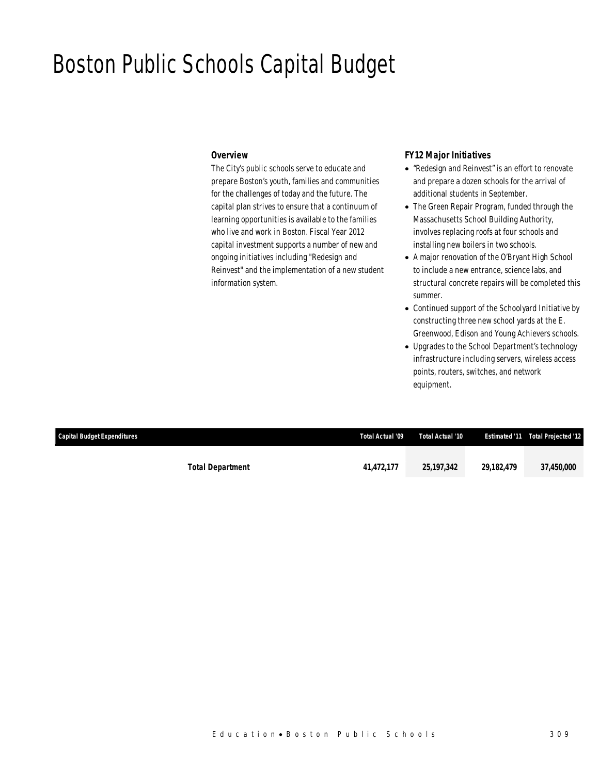### Boston Public Schools Capital Budget

### *Overview*

The City's public schools serve to educate and prepare Boston's youth, families and communities for the challenges of today and the future. The capital plan strives to ensure that a continuum of learning opportunities is available to the families who live and work in Boston. Fiscal Year 2012 capital investment supports a number of new and ongoing initiatives including "Redesign and Reinvest" and the implementation of a new student information system.

### *FY12 Major Initiatives*

- "Redesign and Reinvest" is an effort to renovate and prepare a dozen schools for the arrival of additional students in September.
- The Green Repair Program, funded through the Massachusetts School Building Authority, involves replacing roofs at four schools and installing new boilers in two schools.
- A major renovation of the O'Bryant High School to include a new entrance, science labs, and structural concrete repairs will be completed this summer.
- Continued support of the Schoolyard Initiative by constructing three new school yards at the E. Greenwood, Edison and Young Achievers schools.
- Upgrades to the School Department's technology infrastructure including servers, wireless access points, routers, switches, and network equipment.

| <b>Capital Budget Expenditures</b> |                         | Total Actual '09 | Total Actual '10 |            | <b>Estimated '11 Total Projected '12</b> |
|------------------------------------|-------------------------|------------------|------------------|------------|------------------------------------------|
|                                    | <b>Total Department</b> | 41,472,177       | 25,197,342       | 29,182,479 | 37,450,000                               |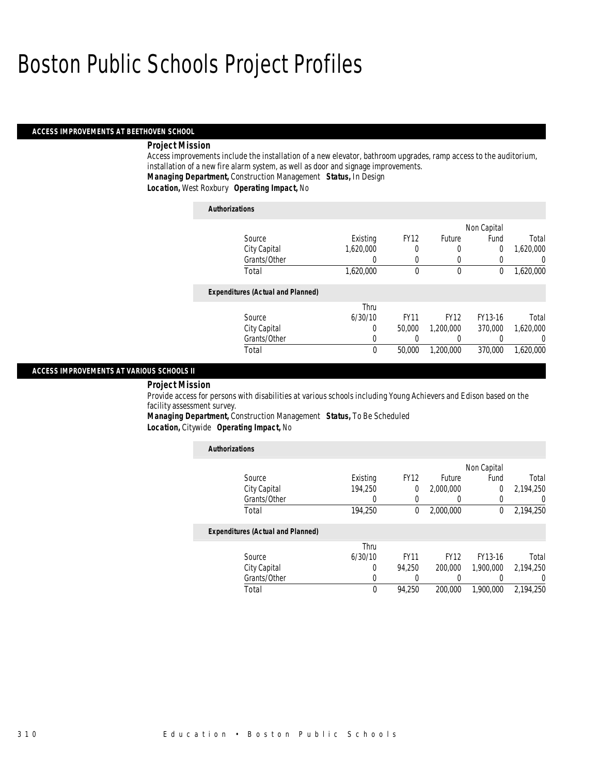#### *ACCESS IMPROVEMENTS AT BEETHOVEN SCHOOL*

### *Project Mission*

Access improvements include the installation of a new elevator, bathroom upgrades, ramp access to the auditorium, installation of a new fire alarm system, as well as door and signage improvements. *Managing Department,* Construction Management *Status,* In Design

*Location,* West Roxbury *Operating Impact,* No

| <b>Authorizations</b>                    |           |             |               |             |           |
|------------------------------------------|-----------|-------------|---------------|-------------|-----------|
|                                          |           |             |               | Non Capital |           |
| Source                                   | Existing  | <b>FY12</b> | <b>Future</b> | Fund        | Total     |
| City Capital                             | 1.620.000 | 0           | 0             | $\theta$    | 1,620,000 |
| Grants/Other                             | 0         | 0           | 0             |             | $\left($  |
| Total                                    | 1,620,000 | 0           | $\mathbf 0$   | 0           | 1,620,000 |
| <b>Expenditures (Actual and Planned)</b> |           |             |               |             |           |
|                                          | Thru      |             |               |             |           |
| Source                                   | 6/30/10   | <b>FY11</b> | <b>FY12</b>   | FY13-16     | Total     |
| City Capital                             | 0         | 50,000      | 1,200,000     | 370,000     | 1.620.000 |
| Grants/Other                             | 0         |             | 0             |             | $\Omega$  |
| Total                                    | 0         | 50,000      | 1,200,000     | 370,000     | 1.620.000 |

#### *ACCESS IMPROVEMENTS AT VARIOUS SCHOOLS II*

#### *Project Mission*

Provide access for persons with disabilities at various schools including Young Achievers and Edison based on the facility assessment survey.

*Managing Department,* Construction Management *Status,* To Be Scheduled

*Location,* Citywide *Operating Impact,* No

| <b>Authorizations</b>                    |          |             |               |             |                  |
|------------------------------------------|----------|-------------|---------------|-------------|------------------|
|                                          |          |             |               | Non Capital |                  |
| Source                                   | Existing | <b>FY12</b> | <b>Future</b> | Fund        | Total            |
| City Capital                             | 194.250  | 0           | 2,000,000     | 0           | 2.194.250        |
| Grants/Other                             | 0        | $\left($    |               | 0           | $\left( \right)$ |
| Total                                    | 194.250  | $\bf{0}$    | 2.000.000     | $^{0}$      | 2,194,250        |
| <b>Expenditures (Actual and Planned)</b> |          |             |               |             |                  |
|                                          | Thru     |             |               |             |                  |
| Source                                   | 6/30/10  | <b>FY11</b> | <b>FY12</b>   | FY13-16     | Total            |
| City Capital                             | 0        | 94.250      | 200,000       | 1.900.000   | 2.194.250        |
| Grants/Other                             | 0        |             |               |             | 0                |
| Total                                    | 0        | 94,250      | 200,000       | 1.900.000   | 2.194.250        |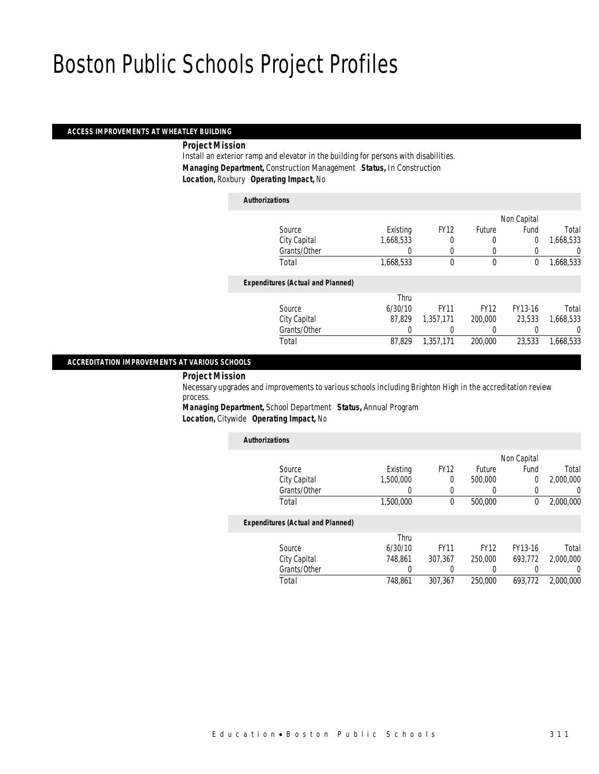### *ACCESS IMPROVEMENTS AT WHEATLEY BUILDING*

*Project Mission* 

Install an exterior ramp and elevator in the building for persons with disabilities. *Managing Department,* Construction Management *Status,* In Construction *Location,* Roxbury *Operating Impact,* No

*Authorizations*

|                                          |           |             |             | Non Capital |           |
|------------------------------------------|-----------|-------------|-------------|-------------|-----------|
| Source                                   | Existing  | <b>FY12</b> | Future      | Fund        | Total     |
| City Capital                             | 1,668,533 | 0           | $\left($    | 0           | 1,668,533 |
| Grants/Other                             |           | $\Omega$    | $\left($    |             | 0         |
| Total                                    | 1,668,533 | $\theta$    | $\mathbf 0$ | 0           | 1,668,533 |
| <b>Expenditures (Actual and Planned)</b> |           |             |             |             |           |
|                                          | Thru      |             |             |             |           |
| Source                                   | 6/30/10   | <b>FY11</b> | <b>FY12</b> | FY13-16     | Total     |
| City Capital                             | 87.829    | 1,357,171   | 200,000     | 23.533      | 1,668,533 |
| Grants/Other                             |           |             |             |             | 0         |
| Total                                    | 87.829    | 1.357.171   | 200,000     | 23.533      | 1.668.533 |
|                                          |           |             |             |             |           |

#### *ACCREDITATION IMPROVEMENTS AT VARIOUS SCHOOLS*

#### *Project Mission*

Necessary upgrades and improvements to various schools including Brighton High in the accreditation review process.

*Managing Department,* School Department *Status,* Annual Program *Location,* Citywide *Operating Impact,* No

| <b>Authorizations</b>                    |           |             |             |             |           |
|------------------------------------------|-----------|-------------|-------------|-------------|-----------|
|                                          |           |             |             | Non Capital |           |
| Source                                   | Existing  | <b>FY12</b> | Future      | Fund        | Total     |
| City Capital                             | 1,500,000 | 0           | 500,000     | 0           | 2.000.000 |
| Grants/Other                             | 0         | 0           | 0           | 0           | 0         |
| Total                                    | 1,500,000 | 0           | 500,000     | 0           | 2,000,000 |
| <b>Expenditures (Actual and Planned)</b> |           |             |             |             |           |
|                                          | Thru      |             |             |             |           |
| Source                                   | 6/30/10   | <b>FY11</b> | <b>FY12</b> | FY13-16     | Total     |
| City Capital                             | 748.861   | 307,367     | 250,000     | 693.772     | 2,000,000 |
| Grants/Other                             | 0         |             | 0           |             | 0         |
| Total                                    | 748.861   | 307.367     | 250,000     | 693,772     | 2,000,000 |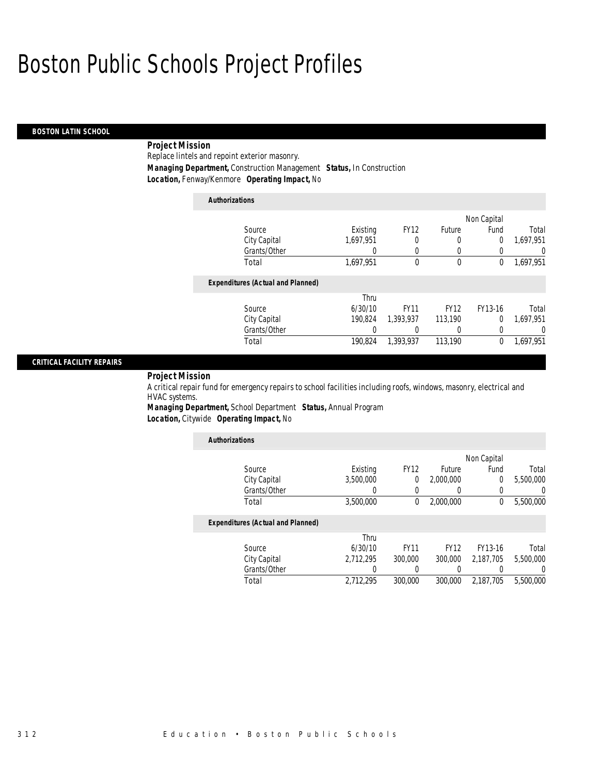### *BOSTON LATIN SCHOOL*

### *Project Mission*

Replace lintels and repoint exterior masonry. *Managing Department,* Construction Management *Status,* In Construction *Location,* Fenway/Kenmore *Operating Impact,* No

| <b>Authorizations</b> |                                          |           |             |             |             |           |
|-----------------------|------------------------------------------|-----------|-------------|-------------|-------------|-----------|
|                       |                                          |           |             |             | Non Capital |           |
| Source                |                                          | Existing  | <b>FY12</b> | Future      | Fund        | Total     |
|                       | City Capital                             | 1.697.951 | 0           | 0           | 0           | 1,697,951 |
|                       | Grants/Other                             |           |             | 0           | 0           | 0         |
| Total                 |                                          | 1,697,951 | $\Omega$    | $\mathbf 0$ | 0           | 1,697,951 |
|                       | <b>Expenditures (Actual and Planned)</b> |           |             |             |             |           |
|                       |                                          | Thru      |             |             |             |           |
| Source                |                                          | 6/30/10   | <b>FY11</b> | <b>FY12</b> | FY13-16     | Total     |
|                       | City Capital                             | 190.824   | 1.393.937   | 113,190     | 0           | 1.697.951 |
|                       | Grants/Other                             | 0         | 0           | 0           | 0           | 0         |
| Total                 |                                          | 190.824   | 1,393,937   | 113,190     | 0           | 1.697.951 |

### *CRITICAL FACILITY REPAIRS*

*Project Mission* 

A critical repair fund for emergency repairs to school facilities including roofs, windows, masonry, electrical and HVAC systems.

*Managing Department,* School Department *Status,* Annual Program *Location,* Citywide *Operating Impact,* No

| <b>Authorizations</b>                    |           |             |               |             |           |
|------------------------------------------|-----------|-------------|---------------|-------------|-----------|
|                                          |           |             |               | Non Capital |           |
| Source                                   | Existing  | <b>FY12</b> | <b>Future</b> | Fund        | Total     |
| City Capital                             | 3,500,000 | 0           | 2,000,000     | 0           | 5,500,000 |
| Grants/Other                             | 0         | $\left($    |               | 0           | 0         |
| Total                                    | 3,500,000 | $\Omega$    | 2,000,000     | $\Omega$    | 5,500,000 |
| <b>Expenditures (Actual and Planned)</b> |           |             |               |             |           |
|                                          | Thru      |             |               |             |           |
| Source                                   | 6/30/10   | <b>FY11</b> | <b>FY12</b>   | FY13-16     | Total     |
| City Capital                             | 2.712.295 | 300,000     | 300,000       | 2.187.705   | 5,500,000 |
| Grants/Other                             | 0         |             |               | 0           | 0         |
| Total                                    | 2,712,295 | 300,000     | 300,000       | 2,187,705   | 5,500,000 |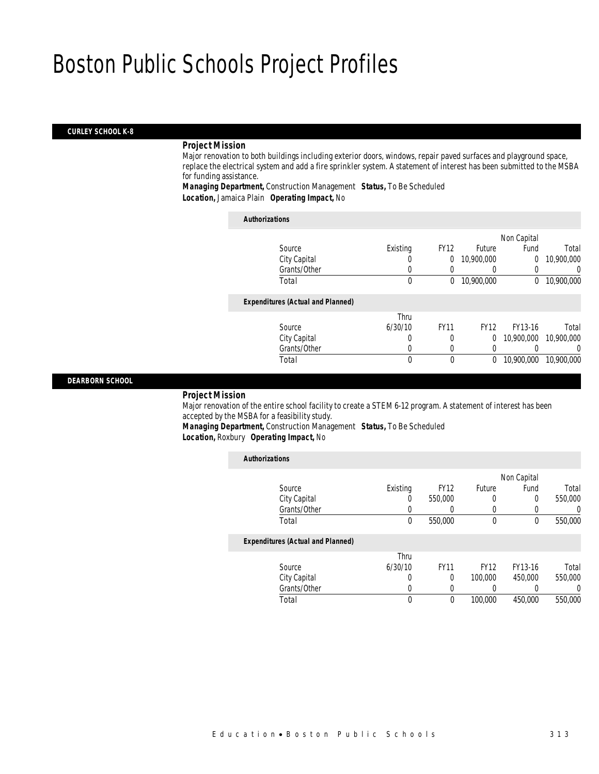#### *CURLEY SCHOOL K-8*

### *Project Mission*

Major renovation to both buildings including exterior doors, windows, repair paved surfaces and playground space, replace the electrical system and add a fire sprinkler system. A statement of interest has been submitted to the MSBA for funding assistance.

*Managing Department,* Construction Management *Status,* To Be Scheduled *Location,* Jamaica Plain *Operating Impact,* No

| <b>Authorizations</b>                    |          |             |             |             |            |
|------------------------------------------|----------|-------------|-------------|-------------|------------|
|                                          |          |             |             | Non Capital |            |
| Source                                   | Existing | <b>FY12</b> | Future      | Fund        | Total      |
| City Capital                             | 0        | 0           | 10,900,000  | 0           | 10,900,000 |
| Grants/Other                             | 0        |             | 0           | 0           | 0          |
| Total                                    | 0        | 0           | 10,900,000  | 0           | 10,900,000 |
| <b>Expenditures (Actual and Planned)</b> |          |             |             |             |            |
|                                          | Thru     |             |             |             |            |
| Source                                   | 6/30/10  | <b>FY11</b> | <b>FY12</b> | FY13-16     | Total      |
| City Capital                             | 0        | 0           | 0           | 10,900,000  | 10,900,000 |
| Grants/Other                             | 0        | 0           | 0           | 0           | $\left($   |
| Total                                    | 0        | $\Omega$    | 0           | 10,900,000  | 10,900,000 |

*DEARBORN SCHOOL* 

#### *Project Mission*

Major renovation of the entire school facility to create a STEM 6-12 program. A statement of interest has been accepted by the MSBA for a feasibility study.

*Managing Department,* Construction Management *Status,* To Be Scheduled *Location,* Roxbury *Operating Impact,* No

| <b>Authorizations</b>                    |          |             |             |             |          |
|------------------------------------------|----------|-------------|-------------|-------------|----------|
|                                          |          |             |             | Non Capital |          |
| Source                                   | Existing | <b>FY12</b> | Future      | Fund        | Total    |
| City Capital                             | 0        | 550,000     | 0           | 0           | 550,000  |
| Grants/Other                             | 0        | 0           | 0           | 0           | $\left($ |
| Total                                    | 0        | 550,000     | 0           | 0           | 550,000  |
| <b>Expenditures (Actual and Planned)</b> |          |             |             |             |          |
|                                          | Thru     |             |             |             |          |
| Source                                   | 6/30/10  | <b>FY11</b> | <b>FY12</b> | FY13-16     | Total    |
| City Capital                             | 0        | $\Omega$    | 100,000     | 450,000     | 550,000  |
| Grants/Other                             | 0        | 0           | 0           | 0           | 0        |
| Total                                    | 0        | 0           | 100,000     | 450,000     | 550,000  |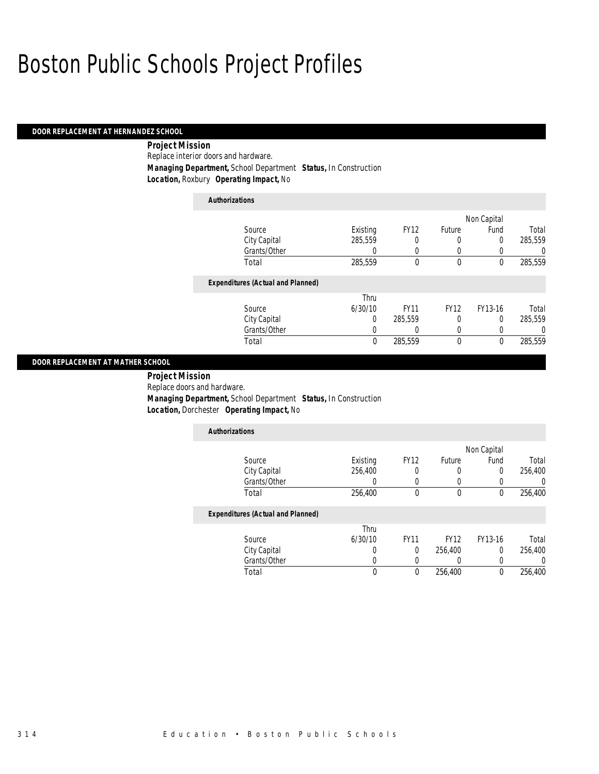### *DOOR REPLACEMENT AT HERNANDEZ SCHOOL*

 *Project Mission* Replace interior doors and hardware. *Managing Department,* School Department *Status,* In Construction *Location,* Roxbury *Operating Impact,* No

| <b>Authorizations</b>                    |          |             |             |             |          |
|------------------------------------------|----------|-------------|-------------|-------------|----------|
|                                          |          |             |             | Non Capital |          |
| Source                                   | Existing | <b>FY12</b> | Future      | Fund        | Total    |
| City Capital                             | 285.559  | 0           | 0           | $\Omega$    | 285,559  |
| Grants/Other                             | 0        | 0           | 0           | 0           | 0        |
| Total                                    | 285,559  | 0           | $\theta$    | 0           | 285,559  |
| <b>Expenditures (Actual and Planned)</b> |          |             |             |             |          |
|                                          | Thru     |             |             |             |          |
| Source                                   | 6/30/10  | <b>FY11</b> | <b>FY12</b> | FY13-16     | Total    |
| City Capital                             | 0        | 285.559     | 0           | 0           | 285.559  |
| Grants/Other                             | 0        | 0           | 0           | 0           | $\left($ |
| Total                                    | 0        | 285.559     | $\mathbf 0$ | 0           | 285.559  |

#### *DOOR REPLACEMENT AT MATHER SCHOOL*

 *Project Mission* Replace doors and hardware. *Managing Department,* School Department *Status,* In Construction *Location,* Dorchester *Operating Impact,* No

| <b>Authorizations</b>                    |          |             |             |             |         |
|------------------------------------------|----------|-------------|-------------|-------------|---------|
|                                          |          |             |             | Non Capital |         |
| Source                                   | Existing | <b>FY12</b> | Future      | Fund        | Total   |
| City Capital                             | 256,400  | 0           | 0           | 0           | 256,400 |
| Grants/Other                             | 0        | 0           | 0           | 0           |         |
| Total                                    | 256,400  | $\mathbf 0$ | $\theta$    | $\theta$    | 256.400 |
| <b>Expenditures (Actual and Planned)</b> |          |             |             |             |         |
|                                          | Thru     |             |             |             |         |
| Source                                   | 6/30/10  | <b>FY11</b> | <b>FY12</b> | FY13-16     | Total   |
| City Capital                             | 0        | 0           | 256,400     | $\Omega$    | 256,400 |
| Grants/Other                             | 0        | 0           | 0           | 0           |         |
| Total                                    | 0        | $\Omega$    | 256.400     | 0           | 256.400 |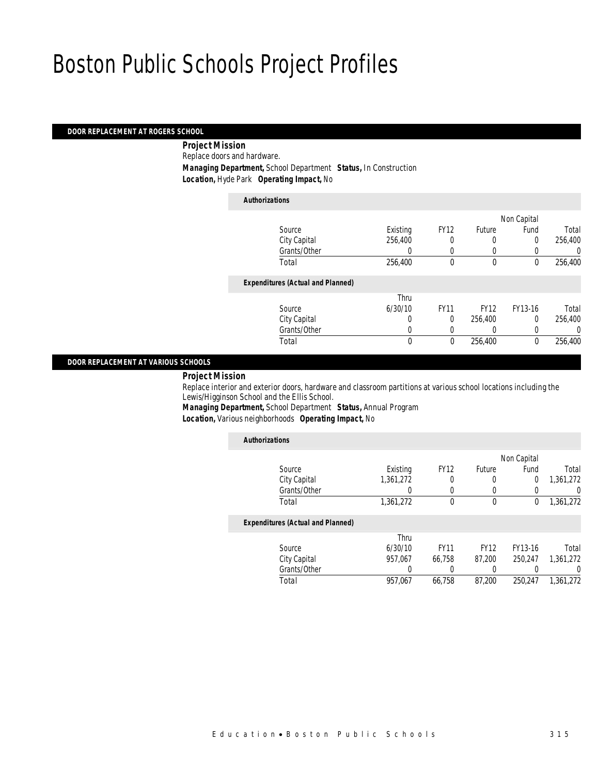#### *DOOR REPLACEMENT AT ROGERS SCHOOL*

 *Project Mission* Replace doors and hardware. *Managing Department,* School Department *Status,* In Construction *Location,* Hyde Park *Operating Impact,* No

### *Authorizations* Source **Existing** FY12 Future Non Capital Fund Total City Capital 256,400 0 0 0 256,400 Grants/Other 0 0 0 0 0 0 Total 256,400 0 0 0 256,400*Expenditures (Actual and Planned)* Source Thru 6/30/10 FY11 FY12 FY13-16 Total

### *DOOR REPLACEMENT AT VARIOUS SCHOOLS*

*Project Mission* 

Replace interior and exterior doors, hardware and classroom partitions at various school locations including the Lewis/Higginson School and the Ellis School.

*Managing Department,* School Department *Status,* Annual Program *Location,* Various neighborhoods *Operating Impact,* No

| <b>Authorizations</b>                    |           |             |             |             |                |
|------------------------------------------|-----------|-------------|-------------|-------------|----------------|
|                                          |           |             |             | Non Capital |                |
| Source                                   | Existing  | <b>FY12</b> | Future      | Fund        | Total          |
| City Capital                             | 1,361,272 | 0           | 0           | 0           | 1,361,272      |
| Grants/Other                             | 0         | 0           | 0           |             | $\overline{0}$ |
| Total                                    | 1,361,272 | 0           | $\mathbf 0$ | 0           | 1,361,272      |
| <b>Expenditures (Actual and Planned)</b> |           |             |             |             |                |
|                                          | Thru      |             |             |             |                |
| Source                                   | 6/30/10   | <b>FY11</b> | <b>FY12</b> | FY13-16     | Total          |
| City Capital                             | 957.067   | 66.758      | 87.200      | 250.247     | 1,361,272      |
| Grants/Other                             |           |             |             |             | U              |
| Total                                    | 957,067   | 66.758      | 87.200      | 250.247     | 1.361.272      |

City Capital 0 0 256,400 0 256,400

Total 0 0 256,400 0 256,400

Grants/Other 0 0 0 0 0 0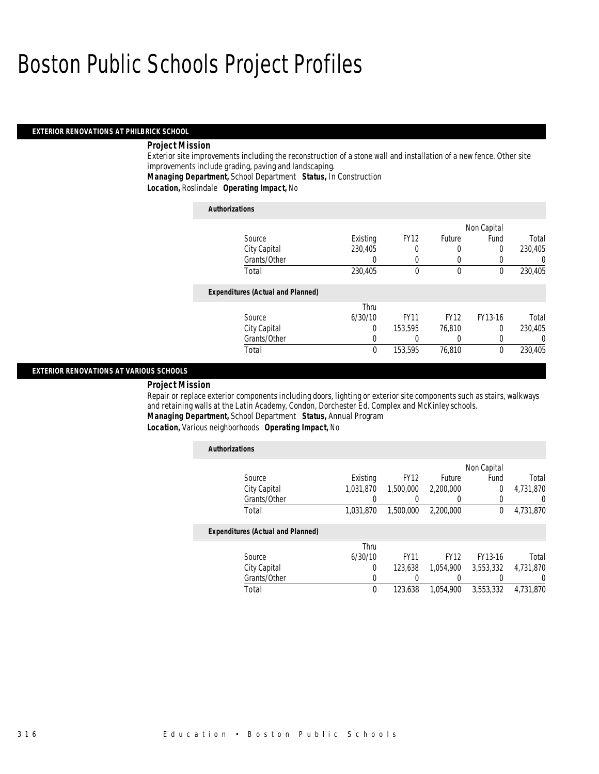#### *EXTERIOR RENOVATIONS AT PHILBRICK SCHOOL*

#### *Project Mission*

Exterior site improvements including the reconstruction of a stone wall and installation of a new fence. Other site improvements include grading, paving and landscaping.

*Managing Department,* School Department *Status,* In Construction

*Location,* Roslindale *Operating Impact,* No

| <b>Authorizations</b>                    |          |             |             |             |         |
|------------------------------------------|----------|-------------|-------------|-------------|---------|
|                                          |          |             |             | Non Capital |         |
| Source                                   | Existing | <b>FY12</b> | Future      | Fund        | Total   |
| City Capital                             | 230.405  | 0           |             | 0           | 230,405 |
| Grants/Other                             | 0        | 0           |             |             | 0       |
| Total                                    | 230,405  | $\Omega$    | $\Omega$    | $\Omega$    | 230,405 |
| <b>Expenditures (Actual and Planned)</b> |          |             |             |             |         |
|                                          | Thru     |             |             |             |         |
| Source                                   | 6/30/10  | <b>FY11</b> | <b>FY12</b> | FY13-16     | Total   |
| City Capital                             | 0        | 153.595     | 76.810      | $\Omega$    | 230.405 |
| Grants/Other                             | 0        |             |             | 0           | 0       |
| Total                                    | 0        | 153,595     | 76,810      | $\theta$    | 230.405 |

#### *EXTERIOR RENOVATIONS AT VARIOUS SCHOOLS*

#### *Project Mission*

Repair or replace exterior components including doors, lighting or exterior site components such as stairs, walkways and retaining walls at the Latin Academy, Condon, Dorchester Ed. Complex and McKinley schools.

*Managing Department,* School Department *Status,* Annual Program

*Location,* Various neighborhoods *Operating Impact,* No

| <b>Authorizations</b>                    |           |             |             |             |                  |
|------------------------------------------|-----------|-------------|-------------|-------------|------------------|
|                                          |           |             |             | Non Capital |                  |
| Source                                   | Existing  | <b>FY12</b> | Future      | Fund        | Total            |
| City Capital                             | 1,031,870 | 1.500.000   | 2,200,000   | 0           | 4.731.870        |
| Grants/Other                             |           | 0           |             | $\Omega$    | $\left( \right)$ |
| Total                                    | 1.031.870 | 1,500,000   | 2,200,000   | $\theta$    | 4,731,870        |
| <b>Expenditures (Actual and Planned)</b> |           |             |             |             |                  |
|                                          | Thru      |             |             |             |                  |
| Source                                   | 6/30/10   | <b>FY11</b> | <b>FY12</b> | FY13-16     | Total            |
| City Capital                             | $\Omega$  | 123.638     | 1.054.900   | 3,553,332   | 4,731,870        |
| Grants/Other                             | 0         |             |             |             | 0                |
| Total                                    | 0         | 123,638     | 1.054.900   | 3,553,332   | 4.731.870        |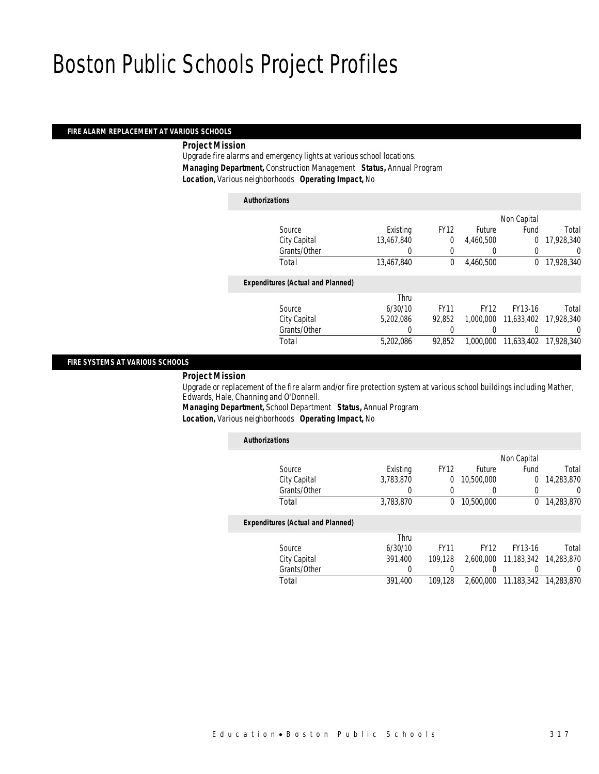#### *FIRE ALARM REPLACEMENT AT VARIOUS SCHOOLS*

*Project Mission* 

Upgrade fire alarms and emergency lights at various school locations. *Managing Department,* Construction Management *Status,* Annual Program *Location,* Various neighborhoods *Operating Impact,* No

| <b>Authorizations</b>                    |            |             |             |                       |            |
|------------------------------------------|------------|-------------|-------------|-----------------------|------------|
|                                          |            |             |             | Non Capital           |            |
| Source                                   | Existing   | <b>FY12</b> | Future      | Fund                  | Total      |
| City Capital                             | 13,467,840 | 0           | 4,460,500   | 0                     | 17,928,340 |
| Grants/Other                             | 0          | $\theta$    | $\Omega$    | 0                     | 0          |
| Total                                    | 13,467,840 | $\Omega$    | 4,460,500   | $\Omega$              | 17,928,340 |
| <b>Expenditures (Actual and Planned)</b> |            |             |             |                       |            |
|                                          | Thru       |             |             |                       |            |
| Source                                   | 6/30/10    | <b>FY11</b> | <b>FY12</b> | FY13-16               | Total      |
| City Capital                             | 5.202.086  | 92.852      | 1,000,000   | 11.633.402 17.928.340 |            |
| Grants/Other                             | 0          | 0           |             |                       | 0          |
| Total                                    | 5.202.086  | 92.852      | 1.000.000   | 11,633,402            | 17,928,340 |
|                                          |            |             |             |                       |            |

#### *FIRE SYSTEMS AT VARIOUS SCHOOLS*

*Project Mission* 

Upgrade or replacement of the fire alarm and/or fire protection system at various school buildings including Mather, Edwards, Hale, Channing and O'Donnell.

*Managing Department,* School Department *Status,* Annual Program *Location,* Various neighborhoods *Operating Impact,* No

| <b>Authorizations</b>                    |           |             |             |             |            |
|------------------------------------------|-----------|-------------|-------------|-------------|------------|
|                                          |           |             |             | Non Capital |            |
| Source                                   | Existing  | <b>FY12</b> | Future      | Fund        | Total      |
| City Capital                             | 3,783,870 | 0           | 10,500,000  | 0           | 14,283,870 |
| Grants/Other                             | 0         | 0           |             | 0           | 0          |
| Total                                    | 3,783,870 | 0           | 10,500,000  | 0           | 14.283.870 |
| <b>Expenditures (Actual and Planned)</b> |           |             |             |             |            |
|                                          | Thru      |             |             |             |            |
| Source                                   | 6/30/10   | <b>FY11</b> | <b>FY12</b> | FY13-16     | Total      |
| City Capital                             | 391.400   | 109.128     | 2.600.000   | 11,183,342  | 14,283,870 |
| Grants/Other                             | 0         | 0           |             |             | 0          |
| Total                                    | 391.400   | 109.128     | 2.600.000   | 11,183,342  | 14,283,870 |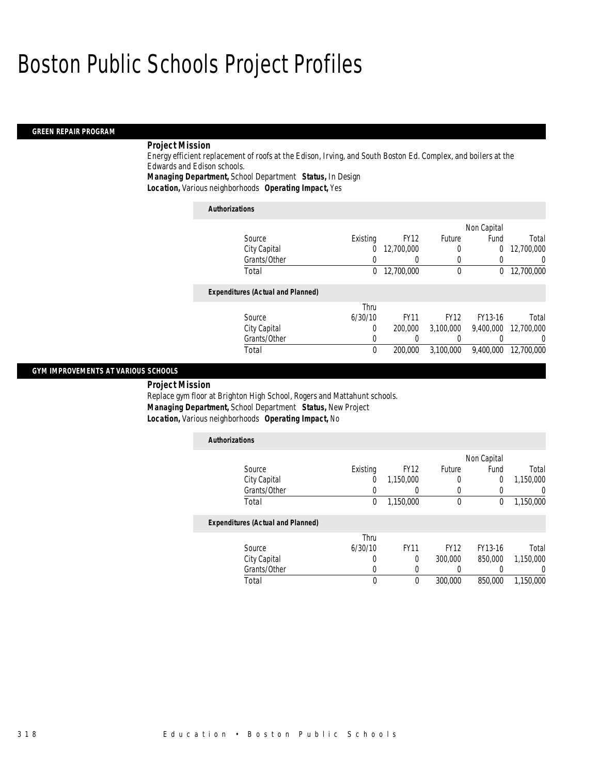#### *GREEN REPAIR PROGRAM*

### *Project Mission*

Energy efficient replacement of roofs at the Edison, Irving, and South Boston Ed. Complex, and boilers at the Edwards and Edison schools.

*Managing Department,* School Department *Status,* In Design

*Location,* Various neighborhoods *Operating Impact,* Yes

| <b>Authorizations</b>                    |          |             |             |             |            |
|------------------------------------------|----------|-------------|-------------|-------------|------------|
|                                          |          |             |             | Non Capital |            |
| Source                                   | Existing | <b>FY12</b> | Future      | Fund        | Total      |
| City Capital                             | 0        | 12,700,000  | 0           | 0           | 12,700,000 |
| Grants/Other                             |          |             | 0           | 0           | 0          |
| Total                                    | $\Omega$ | 12,700,000  | 0           | 0           | 12,700,000 |
| <b>Expenditures (Actual and Planned)</b> |          |             |             |             |            |
|                                          | Thru     |             |             |             |            |
| Source                                   | 6/30/10  | <b>FY11</b> | <b>FY12</b> | FY13-16     | Total      |
| City Capital                             | $\Omega$ | 200,000     | 3,100,000   | 9.400.000   | 12,700,000 |
| Grants/Other                             | $\Omega$ |             |             | 0           |            |
| Total                                    | $\theta$ | 200,000     | 3,100,000   | 9.400.000   | 12.700.000 |

### *GYM IMPROVEMENTS AT VARIOUS SCHOOLS*

*Project Mission* 

Replace gym floor at Brighton High School, Rogers and Mattahunt schools. *Managing Department,* School Department *Status,* New Project *Location,* Various neighborhoods *Operating Impact,* No

| <b>Authorizations</b>                    |          |             |             |             |           |
|------------------------------------------|----------|-------------|-------------|-------------|-----------|
|                                          |          |             |             | Non Capital |           |
| Source                                   | Existing | <b>FY12</b> | Future      | Fund        | Total     |
| City Capital                             | 0        | 1,150,000   | 0           | 0           | 1,150,000 |
| Grants/Other                             | 0        |             |             |             | 0         |
| Total                                    | 0        | 1,150,000   | $\theta$    | 0           | 1,150,000 |
| <b>Expenditures (Actual and Planned)</b> |          |             |             |             |           |
|                                          | Thru     |             |             |             |           |
| Source                                   | 6/30/10  | <b>FY11</b> | <b>FY12</b> | FY13-16     | Total     |
| City Capital                             | 0        | 0           | 300,000     | 850,000     | 1,150,000 |
| Grants/Other                             | 0        | $\Omega$    |             |             | $\left($  |
| Total                                    | 0        | $\theta$    | 300,000     | 850,000     | 1,150,000 |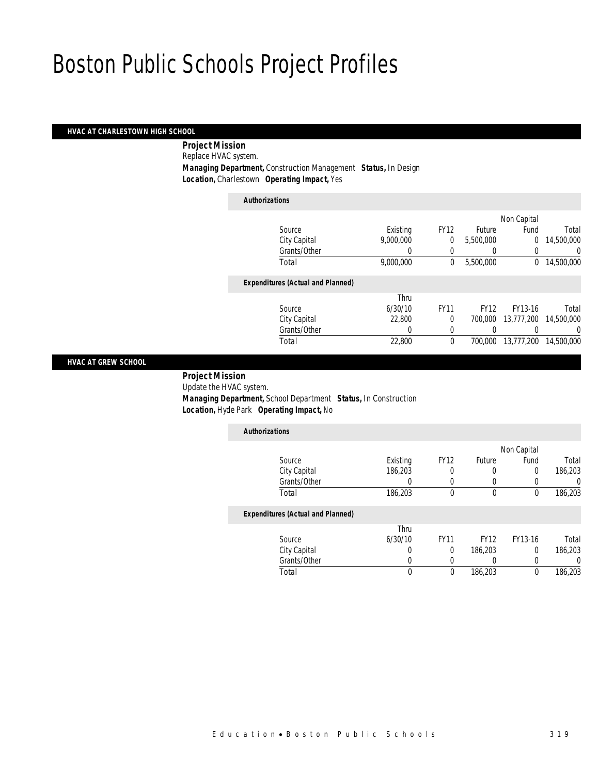### *HVAC AT CHARLESTOWN HIGH SCHOOL*

 *Project Mission* Replace HVAC system. *Managing Department,* Construction Management *Status,* In Design *Location,* Charlestown *Operating Impact,* Yes

| <b>Authorizations</b>                    |           |             |             |                |            |
|------------------------------------------|-----------|-------------|-------------|----------------|------------|
|                                          |           |             |             | Non Capital    |            |
| Source                                   | Existing  | <b>FY12</b> | Future      | Fund           | Total      |
| City Capital                             | 9,000,000 | 0           | 5,500,000   | $\overline{0}$ | 14,500,000 |
| Grants/Other                             | 0         | 0           |             | 0              | 0          |
| Total                                    | 9,000,000 | 0           | 5,500,000   | 0              | 14,500,000 |
| <b>Expenditures (Actual and Planned)</b> |           |             |             |                |            |
|                                          | Thru      |             |             |                |            |
| Source                                   | 6/30/10   | <b>FY11</b> | <b>FY12</b> | FY13-16        | Total      |
| City Capital                             | 22,800    | $\theta$    | 700,000     | 13,777,200     | 14,500,000 |
| Grants/Other                             | 0         | $\Omega$    |             |                | 0          |
| Total                                    | 22,800    | $\theta$    | 700,000     | 13,777,200     | 14,500,000 |
|                                          |           |             |             |                |            |

### *HVAC AT GREW SCHOOL*

 *Project Mission* Update the HVAC system. *Managing Department,* School Department *Status,* In Construction *Location,* Hyde Park *Operating Impact,* No

| <b>Authorizations</b>                    |          |             |             |             |         |
|------------------------------------------|----------|-------------|-------------|-------------|---------|
|                                          |          |             |             | Non Capital |         |
| Source                                   | Existing | <b>FY12</b> | Future      | Fund        | Total   |
| City Capital                             | 186,203  | 0           | 0           | 0           | 186,203 |
| Grants/Other                             |          | 0           | 0           | 0           |         |
| Total                                    | 186,203  | $\theta$    | $\theta$    | $\theta$    | 186,203 |
| <b>Expenditures (Actual and Planned)</b> |          |             |             |             |         |
|                                          | Thru     |             |             |             |         |
| Source                                   | 6/30/10  | <b>FY11</b> | <b>FY12</b> | FY13-16     | Total   |
| City Capital                             | 0        | 0           | 186,203     | 0           | 186.203 |
| Grants/Other                             |          | 0           | 0           | 0           |         |
| Total                                    | 0        | 0           | 186,203     | 0           | 186,203 |

Total 0 0 186,203 0 186,203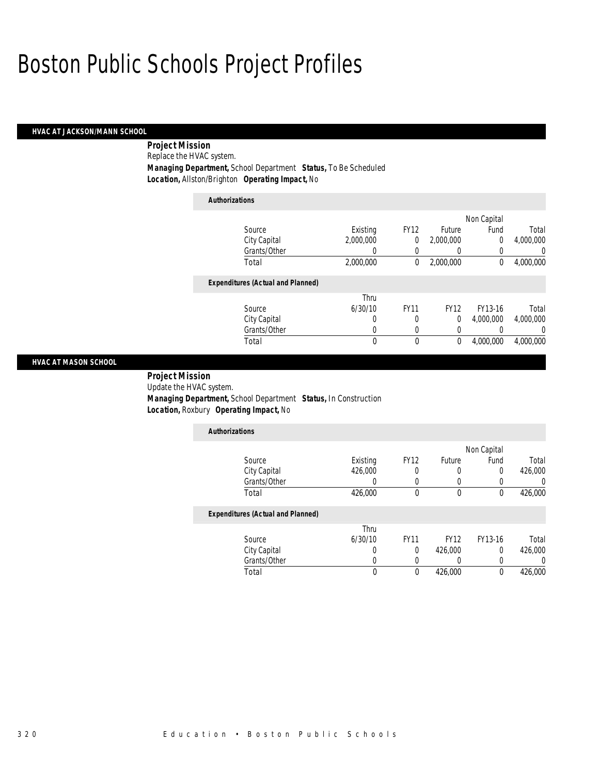### *HVAC AT JACKSON/MANN SCHOOL*

 *Project Mission* Replace the HVAC system. *Managing Department,* School Department *Status,* To Be Scheduled *Location,* Allston/Brighton *Operating Impact,* No

| <b>Authorizations</b>                    |           |             |             |                |           |
|------------------------------------------|-----------|-------------|-------------|----------------|-----------|
|                                          |           |             |             | Non Capital    |           |
| Source                                   | Existing  | <b>FY12</b> | Future      | Fund           | Total     |
| City Capital                             | 2.000.000 | 0           | 2,000,000   | $\overline{0}$ | 4,000,000 |
| Grants/Other                             | 0         | 0           | 0           | 0              | 0         |
| Total                                    | 2,000,000 | 0           | 2,000,000   | 0              | 4,000,000 |
| <b>Expenditures (Actual and Planned)</b> |           |             |             |                |           |
|                                          | Thru      |             |             |                |           |
| Source                                   | 6/30/10   | <b>FY11</b> | <b>FY12</b> | FY13-16        | Total     |
| City Capital                             | 0         | 0           | 0           | 4.000.000      | 4,000,000 |
| Grants/Other                             | 0         | 0           | 0           | 0              | $\Omega$  |
| Total                                    | 0         | 0           | 0           | 4.000.000      | 4,000,000 |

#### *HVAC AT MASON SCHOOL*

 *Project Mission* Update the HVAC system. *Managing Department,* School Department *Status,* In Construction *Location,* Roxbury *Operating Impact,* No

| <b>Authorizations</b>                    |          |             |             |             |         |
|------------------------------------------|----------|-------------|-------------|-------------|---------|
|                                          |          |             |             | Non Capital |         |
| Source                                   | Existing | <b>FY12</b> | Future      | Fund        | Total   |
| City Capital                             | 426,000  | 0           | 0           | 0           | 426,000 |
| Grants/Other                             |          | 0           |             |             |         |
| Total                                    | 426,000  | 0           | 0           | 0           | 426,000 |
| <b>Expenditures (Actual and Planned)</b> |          |             |             |             |         |
|                                          | Thru     |             |             |             |         |
| Source                                   | 6/30/10  | <b>FY11</b> | <b>FY12</b> | FY13-16     | Total   |
| City Capital                             | 0        | 0           | 426,000     | 0           | 426,000 |
| Grants/Other                             |          | 0           |             |             |         |

Total 0 0 426,000 0 426,000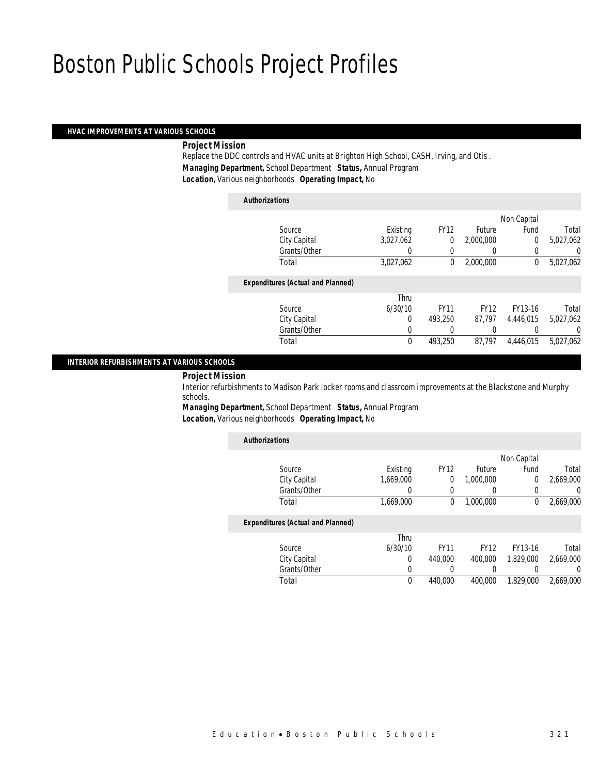#### *HVAC IMPROVEMENTS AT VARIOUS SCHOOLS*

#### *Project Mission*

Replace the DDC controls and HVAC units at Brighton High School, CASH, Irving, and Otis . *Managing Department,* School Department *Status,* Annual Program *Location,* Various neighborhoods *Operating Impact,* No

### *Authorizations* Source **Existing** FY12 Future Non Capital Fund Total City Capital 3,027,062 0 2,000,000 0 5,027,062 Grants/Other 0 0 0 0 0 0 Total 3,027,062 0 2,000,000 0 5,027,062*Expenditures (Actual and Planned)* Source Thru 6/30/10 FY11 FY12 FY13-16 Total City Capital 0 493,250 87,797 4,446,015 5,027,062 Grants/Other 0 0 0 0 0 0 0 Total 0 493,250 87,797 4,446,015 5,027,062

#### *INTERIOR REFURBISHMENTS AT VARIOUS SCHOOLS*

### *Project Mission*

Interior refurbishments to Madison Park locker rooms and classroom improvements at the Blackstone and Murphy schools.

*Managing Department,* School Department *Status,* Annual Program *Location,* Various neighborhoods *Operating Impact,* No

| <b>Authorizations</b>                    |             |             |             |             |           |
|------------------------------------------|-------------|-------------|-------------|-------------|-----------|
|                                          |             |             |             | Non Capital |           |
| Source                                   | Existing    | <b>FY12</b> | Future      | Fund        | Total     |
| City Capital                             | 1.669.000   | 0           | 1.000.000   | 0           | 2,669,000 |
| Grants/Other                             | 0           | 0           | 0           | 0           | 0         |
| Total                                    | 1,669,000   | 0           | 1.000.000   | 0           | 2,669,000 |
| <b>Expenditures (Actual and Planned)</b> |             |             |             |             |           |
|                                          | Thru        |             |             |             |           |
| Source                                   | 6/30/10     | <b>FY11</b> | <b>FY12</b> | FY13-16     | Total     |
| City Capital                             | $\Omega$    | 440,000     | 400,000     | 1.829.000   | 2.669.000 |
| Grants/Other                             | 0           |             |             |             | 0         |
| Total                                    | $\mathbf 0$ | 440.000     | 400.000     | 1.829.000   | 2.669.000 |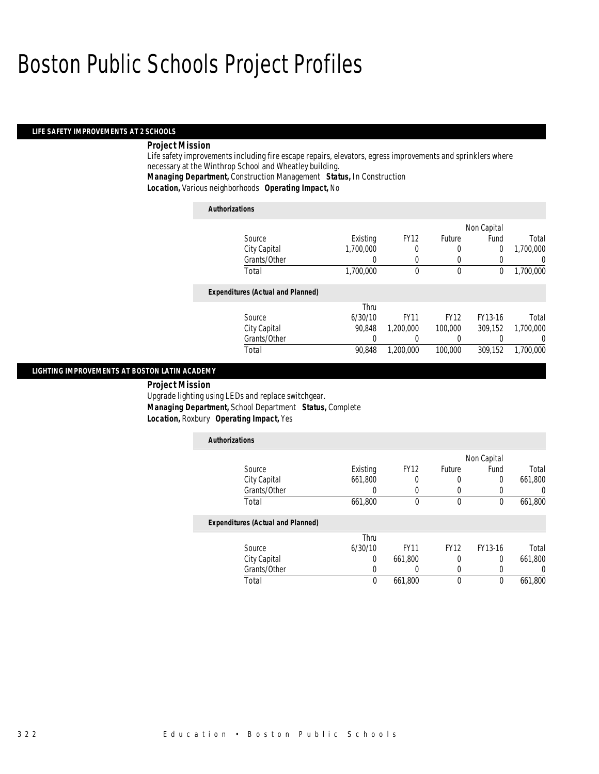#### *LIFE SAFETY IMPROVEMENTS AT 2 SCHOOLS*

### *Project Mission*

Life safety improvements including fire escape repairs, elevators, egress improvements and sprinklers where necessary at the Winthrop School and Wheatley building.

*Managing Department,* Construction Management *Status,* In Construction

*Location,* Various neighborhoods *Operating Impact,* No

| <b>Authorizations</b>                    |           |             |             |             |           |
|------------------------------------------|-----------|-------------|-------------|-------------|-----------|
|                                          |           |             |             | Non Capital |           |
| Source                                   | Existing  | <b>FY12</b> | Future      | Fund        | Total     |
| City Capital                             | 1,700,000 | 0           | 0           | 0           | 1,700,000 |
| Grants/Other                             | 0         | 0           |             |             | 0         |
| Total                                    | 1,700,000 | $\theta$    | $\theta$    | 0           | 1,700,000 |
| <b>Expenditures (Actual and Planned)</b> |           |             |             |             |           |
|                                          | Thru      |             |             |             |           |
| Source                                   | 6/30/10   | <b>FY11</b> | <b>FY12</b> | FY13-16     | Total     |
| City Capital                             | 90.848    | 1,200,000   | 100,000     | 309.152     | 1.700.000 |
| Grants/Other                             |           | 0           |             |             | $\left($  |
| Total                                    | 90.848    | 1.200.000   | 100,000     | 309,152     | 1.700.000 |

#### *LIGHTING IMPROVEMENTS AT BOSTON LATIN ACADEMY*

 *Project Mission* Upgrade lighting using LEDs and replace switchgear. *Managing Department,* School Department *Status,* Complete *Location,* Roxbury *Operating Impact,* Yes

| <b>Authorizations</b>                    |          |             |               |             |         |
|------------------------------------------|----------|-------------|---------------|-------------|---------|
|                                          |          |             |               | Non Capital |         |
| Source                                   | Existing | <b>FY12</b> | <b>Future</b> | Fund        | Total   |
| City Capital                             | 661,800  | 0           | 0             | $\Omega$    | 661,800 |
| Grants/Other                             | 0        | 0           | U             |             |         |
| Total                                    | 661,800  | $\Omega$    | $\mathbf 0$   | $\theta$    | 661,800 |
| <b>Expenditures (Actual and Planned)</b> |          |             |               |             |         |
|                                          | Thru     |             |               |             |         |
| Source                                   | 6/30/10  | <b>FY11</b> | <b>FY12</b>   | FY13-16     | Total   |
| City Capital                             | 0        | 661,800     | 0             | $\Omega$    | 661,800 |
| Grants/Other                             |          |             |               |             |         |
| Total                                    | 0        | 661,800     | $\theta$      | $\Omega$    | 661,800 |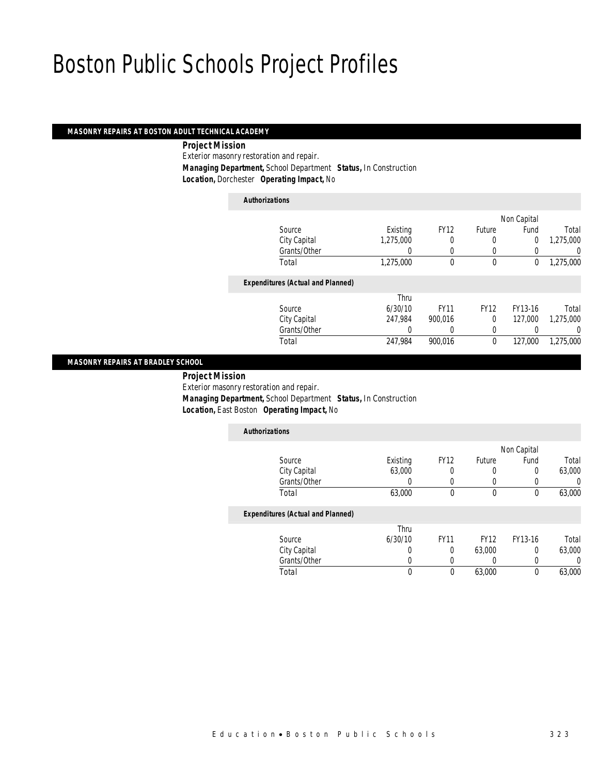### *MASONRY REPAIRS AT BOSTON ADULT TECHNICAL ACADEMY*

 *Project Mission* Exterior masonry restoration and repair. *Managing Department,* School Department *Status,* In Construction *Location,* Dorchester *Operating Impact,* No

*Authorizations*

|                                          |                  |             |             | Non Capital    |           |
|------------------------------------------|------------------|-------------|-------------|----------------|-----------|
| Source                                   | Existing         | <b>FY12</b> | Future      | Fund           | Total     |
| City Capital                             | 1,275,000        |             | 0           | $\overline{0}$ | 1,275,000 |
| Grants/Other                             | $\left( \right)$ | $\left($    | $\left($    |                | 0         |
| Total                                    | 1,275,000        | $\theta$    | 0           | 0              | 1,275,000 |
| <b>Expenditures (Actual and Planned)</b> |                  |             |             |                |           |
|                                          | Thru             |             |             |                |           |
| Source                                   | 6/30/10          | <b>FY11</b> | <b>FY12</b> | FY13-16        | Total     |
| City Capital                             | 247,984          | 900.016     | $\Omega$    | 127,000        | 1,275,000 |
| Grants/Other                             | 0                |             | 0           |                | 0         |
| Total                                    | 247,984          | 900,016     | 0           | 127,000        | 1,275,000 |
|                                          |                  |             |             |                |           |

#### *MASONRY REPAIRS AT BRADLEY SCHOOL*

*Project Mission* 

Exterior masonry restoration and repair.

*Managing Department,* School Department *Status,* In Construction

*Location,* East Boston *Operating Impact,* No

| <b>Authorizations</b>                    |                  |             |               |             |        |
|------------------------------------------|------------------|-------------|---------------|-------------|--------|
|                                          |                  |             |               | Non Capital |        |
| Source                                   | Existing         | <b>FY12</b> | <b>Future</b> | Fund        | Total  |
| City Capital                             | 63,000           | 0           | O             |             | 63,000 |
| Grants/Other                             |                  |             |               |             |        |
| Total                                    | 63,000           | 0           | 0             |             | 63,000 |
| <b>Expenditures (Actual and Planned)</b> |                  |             |               |             |        |
| $\sim$                                   | Thru<br>10001120 | $-1$        | $-1120$       | $-11101$    | - - -  |

|              | Thru    |             |             |         |        |
|--------------|---------|-------------|-------------|---------|--------|
| Source       | 6/30/10 | <b>FY11</b> | <b>FY12</b> | FY13-16 | Total  |
| City Capital |         |             | 63,000      |         | 63,000 |
| Grants/Other |         |             |             |         |        |
| Total        |         |             | 63,000      |         | 63,000 |
|              |         |             |             |         |        |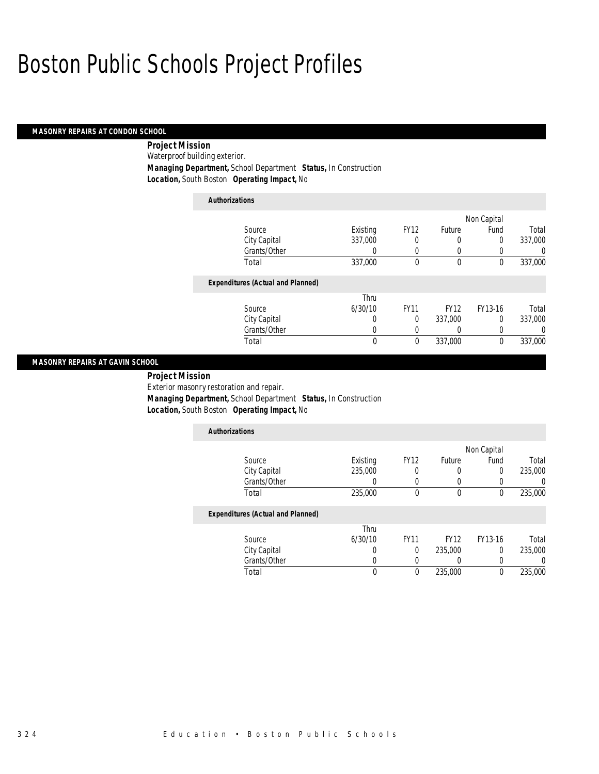### *MASONRY REPAIRS AT CONDON SCHOOL*

 *Project Mission* Waterproof building exterior. *Managing Department,* School Department *Status,* In Construction *Location,* South Boston *Operating Impact,* No

| <b>Authorizations</b>                    |          |             |             |             |          |
|------------------------------------------|----------|-------------|-------------|-------------|----------|
|                                          |          |             |             | Non Capital |          |
| Source                                   | Existing | <b>FY12</b> | Future      | Fund        | Total    |
| City Capital                             | 337,000  | 0           | 0           | 0           | 337.000  |
| Grants/Other                             | 0        | 0           | 0           | 0           | 0        |
| Total                                    | 337,000  | $\Omega$    | $\theta$    | $\theta$    | 337,000  |
| <b>Expenditures (Actual and Planned)</b> |          |             |             |             |          |
|                                          | Thru     |             |             |             |          |
| Source                                   | 6/30/10  | <b>FY11</b> | <b>FY12</b> | FY13-16     | Total    |
| City Capital                             | 0        | 0           | 337,000     | 0           | 337,000  |
| Grants/Other                             | 0        | 0           | 0           | 0           | $\left($ |
| Total                                    | 0        | 0           | 337,000     | 0           | 337,000  |

#### *MASONRY REPAIRS AT GAVIN SCHOOL*

*Project Mission* 

Exterior masonry restoration and repair. *Managing Department,* School Department *Status,* In Construction *Location,* South Boston *Operating Impact,* No

| <b>Authorizations</b>                    |          |              |             |                |         |
|------------------------------------------|----------|--------------|-------------|----------------|---------|
|                                          |          |              |             | Non Capital    |         |
| Source                                   | Existing | <b>FY12</b>  | Future      | Fund           | Total   |
| City Capital                             | 235,000  | 0            | 0           | $\overline{0}$ | 235,000 |
| Grants/Other                             |          | $\left($     | 0           |                |         |
| Total                                    | 235,000  | $\mathbf{0}$ | $\theta$    | $\theta$       | 235,000 |
| <b>Expenditures (Actual and Planned)</b> |          |              |             |                |         |
|                                          | Thru     |              |             |                |         |
| Source                                   | 6/30/10  | <b>FY11</b>  | <b>FY12</b> | FY13-16        | Total   |
| City Capital                             | 0        | 0            | 235,000     | $\Omega$       | 235,000 |
| Grants/Other                             |          | 0            | 0           | 0              |         |
| Total                                    | 0        | 0            | 235,000     | 0              | 235,000 |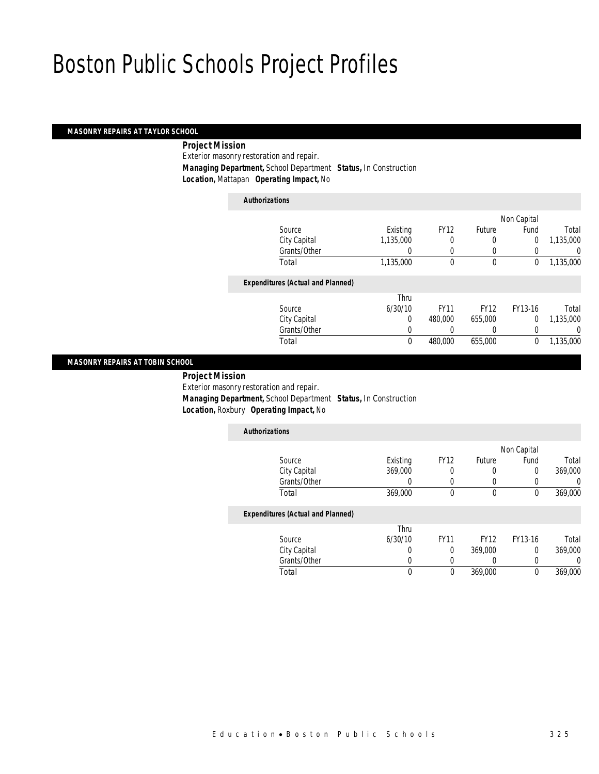#### *MASONRY REPAIRS AT TAYLOR SCHOOL*

*Project Mission* 

Exterior masonry restoration and repair. *Managing Department,* School Department *Status,* In Construction *Location,* Mattapan *Operating Impact,* No

*Authorizations*

|                                          |           |             |             | Non Capital    |           |
|------------------------------------------|-----------|-------------|-------------|----------------|-----------|
| Source                                   | Existing  | <b>FY12</b> | Future      | Fund           | Total     |
| City Capital                             | 1,135,000 |             | 0           | $\overline{0}$ | 1,135,000 |
| Grants/Other                             | 0         | $\Omega$    | $\left($    |                | 0         |
| Total                                    | 1,135,000 | $\theta$    | $\theta$    | 0              | 1,135,000 |
| <b>Expenditures (Actual and Planned)</b> |           |             |             |                |           |
|                                          | Thru      |             |             |                |           |
| Source                                   | 6/30/10   | <b>FY11</b> | <b>FY12</b> | FY13-16        | Total     |
| City Capital                             | 0         | 480,000     | 655,000     | $\Omega$       | 1,135,000 |
| Grants/Other                             | 0         |             | 0           | 0              | 0         |
| Total                                    | 0         | 480,000     | 655,000     | 0              | 1,135,000 |
|                                          |           |             |             |                |           |

#### *MASONRY REPAIRS AT TOBIN SCHOOL*

*Project Mission* 

Exterior masonry restoration and repair.

*Managing Department,* School Department *Status,* In Construction

*Location,* Roxbury *Operating Impact,* No

| <b>Authorizations</b>                    |          |             |               |             |         |
|------------------------------------------|----------|-------------|---------------|-------------|---------|
|                                          |          |             |               | Non Capital |         |
| Source                                   | Existing | <b>FY12</b> | <b>Future</b> | Fund        | Total   |
| City Capital                             | 369,000  | 0           |               |             | 369,000 |
| Grants/Other                             |          |             |               |             |         |
| Total                                    | 369,000  | 0           |               |             | 369,000 |
| <b>Expenditures (Actual and Planned)</b> |          |             |               |             |         |

|              | Thru    |             |             |         |         |
|--------------|---------|-------------|-------------|---------|---------|
| Source       | 6/30/10 | <b>FY11</b> | <b>FY12</b> | FY13-16 | Total   |
| City Capital |         |             | 369,000     |         | 369,000 |
| Grants/Other |         |             |             |         |         |
| Total        |         |             | 369,000     |         | 369,000 |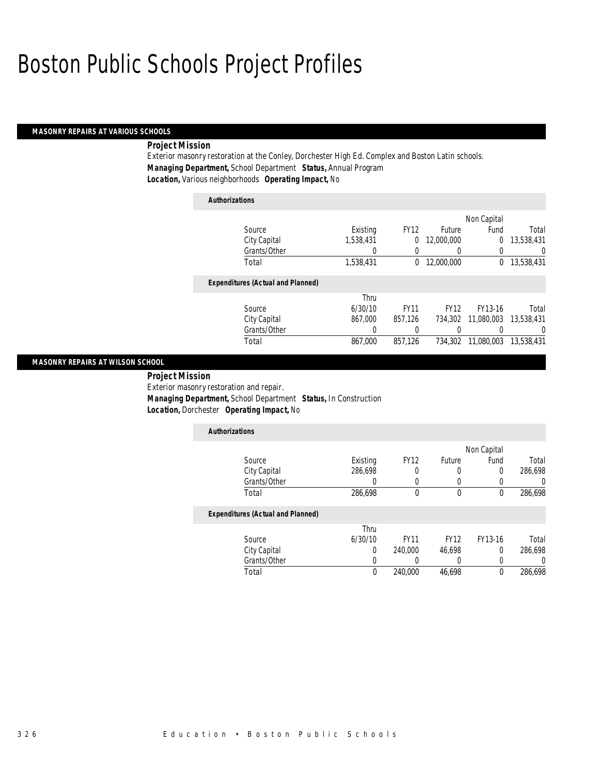#### *MASONRY REPAIRS AT VARIOUS SCHOOLS*

### *Project Mission*

Exterior masonry restoration at the Conley, Dorchester High Ed. Complex and Boston Latin schools. *Managing Department,* School Department *Status,* Annual Program *Location,* Various neighborhoods *Operating Impact,* No

### *Authorizations* Source **Existing** FY12 Future Non Capital Fund Total City Capital 1,538,431 0 12,000,000 0 13,538,431 Grants/Other 0 0 0 0 0 0 Total 1,538,431 0 12,000,000 0 13,538,431*Expenditures (Actual and Planned)* Source Thru 6/30/10 FY11 FY12 FY13-16 Total City Capital 867,000 857,126 734,302 11,080,003 13,538,431 Grants/Other 0 0 0 0 0 0 Total 867,000 857,126 734,302 11,080,003 13,538,431

#### *MASONRY REPAIRS AT WILSON SCHOOL*

 *Project Mission* Exterior masonry restoration and repair. *Managing Department,* School Department *Status,* In Construction *Location,* Dorchester *Operating Impact,* No

| <b>Authorizations</b>                    |          |             |             |             |         |
|------------------------------------------|----------|-------------|-------------|-------------|---------|
|                                          |          |             |             | Non Capital |         |
| Source                                   | Existing | <b>FY12</b> | Future      | Fund        | Total   |
| City Capital                             | 286,698  | 0           | 0           | 0           | 286,698 |
| Grants/Other                             |          |             | 0           | 0           |         |
| Total                                    | 286,698  | 0           | 0           | 0           | 286,698 |
| <b>Expenditures (Actual and Planned)</b> |          |             |             |             |         |
|                                          | Thru     |             |             |             |         |
| Source                                   | 6/30/10  | <b>FY11</b> | <b>FY12</b> | FY13-16     | Total   |
| City Capital                             | 0        | 240,000     | 46.698      | 0           | 286.698 |

Total 0 240,000 46,698 0 286,698

Grants/Other 0 0 0 0 0 0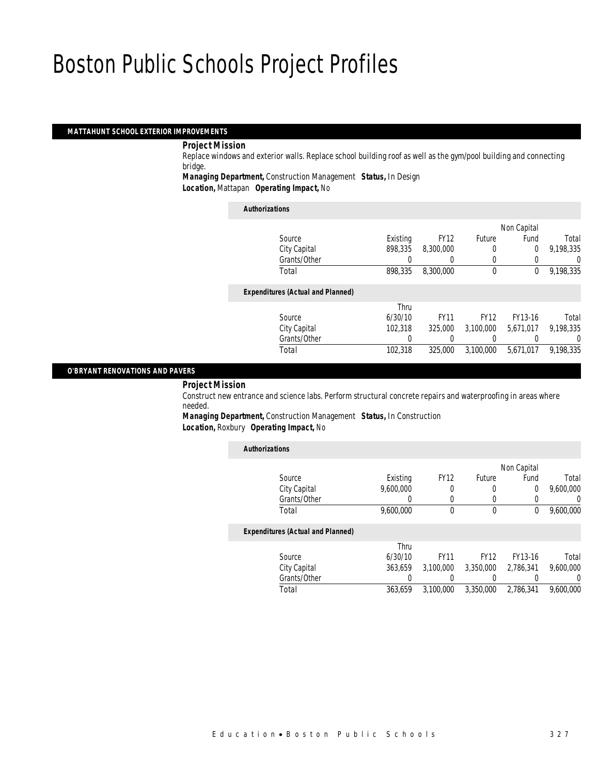#### *MATTAHUNT SCHOOL EXTERIOR IMPROVEMENTS*

#### *Project Mission*

Replace windows and exterior walls. Replace school building roof as well as the gym/pool building and connecting bridge.

*Managing Department,* Construction Management *Status,* In Design

*Location,* Mattapan *Operating Impact,* No

| <b>Authorizations</b> |                                          |          |             |             |                |           |
|-----------------------|------------------------------------------|----------|-------------|-------------|----------------|-----------|
|                       |                                          |          |             |             | Non Capital    |           |
|                       | Source                                   | Existing | <b>FY12</b> | Future      | Fund           | Total     |
|                       | City Capital                             | 898,335  | 8,300,000   |             | $\overline{0}$ | 9,198,335 |
|                       | Grants/Other                             | 0        |             | 0           | 0              | 0         |
|                       | Total                                    | 898,335  | 8,300,000   | $\mathbf 0$ | 0              | 9,198,335 |
|                       | <b>Expenditures (Actual and Planned)</b> |          |             |             |                |           |
|                       |                                          | Thru     |             |             |                |           |
|                       | Source                                   | 6/30/10  | <b>FY11</b> | <b>FY12</b> | FY13-16        | Total     |
|                       | City Capital                             | 102,318  | 325,000     | 3.100.000   | 5,671,017      | 9,198,335 |
|                       | Grants/Other                             | 0        |             |             |                | 0         |
|                       | Total                                    | 102,318  | 325,000     | 3.100.000   | 5.671.017      | 9.198.335 |

#### *O'BRYANT RENOVATIONS AND PAVERS*

*Project Mission* 

Construct new entrance and science labs. Perform structural concrete repairs and waterproofing in areas where needed.

*Managing Department,* Construction Management *Status,* In Construction

| <b>Location, Roxbury Operating Impact, No</b> |  |
|-----------------------------------------------|--|
|                                               |  |

|           |             |               |             |           | <b>Authorizations</b>                    |
|-----------|-------------|---------------|-------------|-----------|------------------------------------------|
|           | Non Capital |               |             |           |                                          |
| Total     | Fund        | <b>Future</b> | <b>FY12</b> | Existing  | Source                                   |
| 9,600,000 | $\theta$    | 0             | 0           | 9.600.000 | City Capital                             |
| U         |             | 0             | 0           | 0         | Grants/Other                             |
| 9,600,000 | $\theta$    | $\theta$      | $\Omega$    | 9,600,000 | Total                                    |
|           |             |               |             |           | <b>Expenditures (Actual and Planned)</b> |
|           |             |               |             | Thru      |                                          |
| Total     | FY13-16     | <b>FY12</b>   | <b>FY11</b> | 6/30/10   | Source                                   |
| 9,600,000 | 2,786,341   | 3,350,000     | 3.100.000   | 363.659   | City Capital                             |
| 0         |             |               |             | O         | Grants/Other                             |
| 9.600.000 | 2.786.341   | 3,350,000     | 3.100.000   | 363.659   | Total                                    |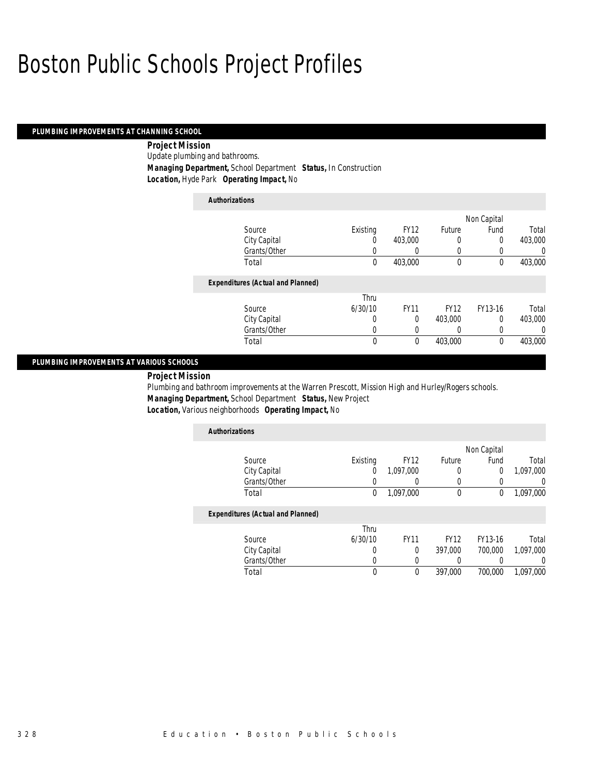### *PLUMBING IMPROVEMENTS AT CHANNING SCHOOL*

 *Project Mission* Update plumbing and bathrooms. *Managing Department,* School Department *Status,* In Construction *Location,* Hyde Park *Operating Impact,* No

| <b>Authorizations</b>                    |          |             |             |             |          |
|------------------------------------------|----------|-------------|-------------|-------------|----------|
|                                          |          |             |             | Non Capital |          |
| Source                                   | Existing | <b>FY12</b> | Future      | Fund        | Total    |
| City Capital                             | 0        | 403,000     | 0           | 0           | 403,000  |
| Grants/Other                             | 0        | 0           | 0           |             | 0        |
| Total                                    | 0        | 403,000     | 0           | 0           | 403,000  |
| <b>Expenditures (Actual and Planned)</b> |          |             |             |             |          |
|                                          | Thru     |             |             |             |          |
| Source                                   | 6/30/10  | <b>FY11</b> | <b>FY12</b> | FY13-16     | Total    |
| City Capital                             | 0        | 0           | 403,000     | $\Omega$    | 403,000  |
| Grants/Other                             | 0        | 0           | 0           | 0           | $\Omega$ |
| Total                                    | 0        | 0           | 403,000     | 0           | 403,000  |

#### *PLUMBING IMPROVEMENTS AT VARIOUS SCHOOLS*

*Project Mission* 

Plumbing and bathroom improvements at the Warren Prescott, Mission High and Hurley/Rogers schools. *Managing Department,* School Department *Status,* New Project *Location,* Various neighborhoods *Operating Impact,* No

| <b>Authorizations</b>                    |          |             |               |             |           |
|------------------------------------------|----------|-------------|---------------|-------------|-----------|
|                                          |          |             |               | Non Capital |           |
| Source                                   | Existing | <b>FY12</b> | <b>Future</b> | Fund        | Total     |
| City Capital                             | 0        | 1,097,000   | 0             | 0           | 1,097,000 |
| Grants/Other                             |          |             |               |             |           |
| Total                                    | 0        | 1,097,000   | 0             | 0           | 1.097.000 |
| <b>Expenditures (Actual and Planned)</b> |          |             |               |             |           |

|              | Thru    |             |             |         |           |
|--------------|---------|-------------|-------------|---------|-----------|
| Source       | 6/30/10 | <b>FY11</b> | <b>FY12</b> | FY13-16 | Total     |
| City Capital |         |             | 397.000     | 700.000 | 1,097,000 |
| Grants/Other |         |             |             |         |           |
| Total        |         |             | 397.000     | 700.000 | 1,097,000 |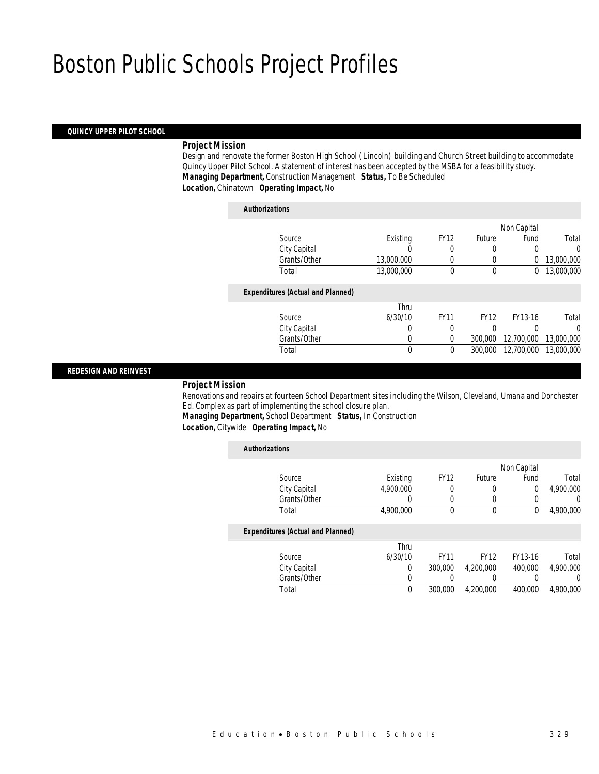#### *QUINCY UPPER PILOT SCHOOL*

### *Project Mission*

Design and renovate the former Boston High School (Lincoln) building and Church Street building to accommodate Quincy Upper Pilot School. A statement of interest has been accepted by the MSBA for a feasibility study. *Managing Department,* Construction Management *Status,* To Be Scheduled *Location,* Chinatown *Operating Impact,* No

### *Authorizations* Source **Existing** FY12 Future Non Capital Fund Total City Capital 0 0 0 0 0 0<br>
Grants/Other 13,000,000 0 0 0 13,000,000 Grants/Other 13,000,000 0 0 0 13,000,000 Total 13,000,000 0 0 0 13,000,000 0 0 0 13,000,000 بال 0 0 13,000,000 0 0 13,000,000 0 0 13,000,000 0 0 13,000,000 0 *Expenditures (Actual and Planned)* Source Thru 6/30/10 FY11 FY12 FY13-16 Total City Capital 0 0 0 0 0 Grants/Other 0 0 0 300,000 12,700,000 13,000,000 Total 0 0 300,000 12,700,000 13,000,000

### *REDESIGN AND REINVEST*

#### *Project Mission*

Renovations and repairs at fourteen School Department sites including the Wilson, Cleveland, Umana and Dorchester Ed. Complex as part of implementing the school closure plan.

*Managing Department,* School Department *Status,* In Construction

*Location,* Citywide *Operating Impact,* No

|           |                |             |             |           | <b>Authorizations</b>                    |
|-----------|----------------|-------------|-------------|-----------|------------------------------------------|
|           | Non Capital    |             |             |           |                                          |
| Total     | Fund           | Future      | <b>FY12</b> | Existing  | Source                                   |
| 4.900.000 | $\overline{0}$ | 0           | 0           | 4.900.000 | City Capital                             |
| 0         | 0              | 0           | 0           | 0         | Grants/Other                             |
| 4.900.000 | 0              | $\mathbf 0$ | 0           | 4,900,000 | Total                                    |
|           |                |             |             |           | <b>Expenditures (Actual and Planned)</b> |
|           |                |             |             | Thru      |                                          |
| Total     | FY13-16        | <b>FY12</b> | <b>FY11</b> | 6/30/10   | Source                                   |
| 4.900.000 | 400,000        | 4.200.000   | 300,000     | 0         | City Capital                             |
| 0         |                | 0           | 0           | 0         | Grants/Other                             |
| 4,900,000 | 400,000        | 4.200.000   | 300,000     | 0         | Total                                    |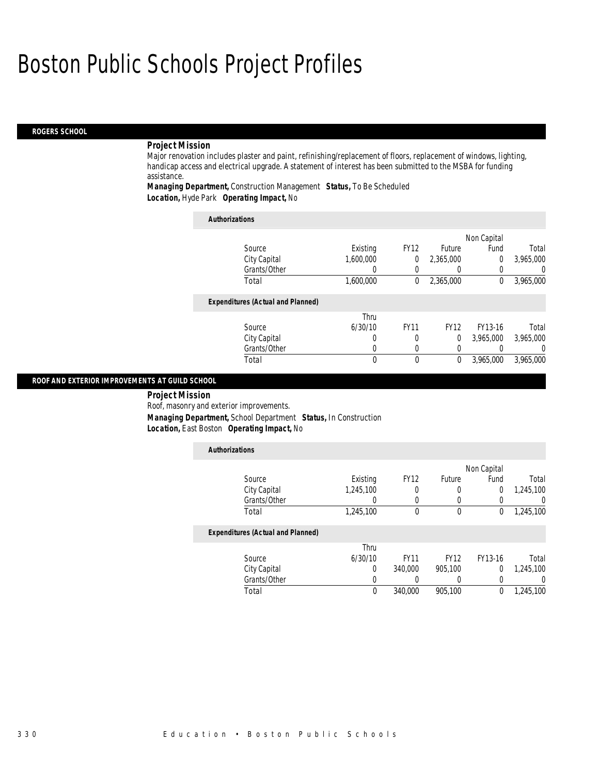#### *ROGERS SCHOOL*

#### *Project Mission*

Major renovation includes plaster and paint, refinishing/replacement of floors, replacement of windows, lighting, handicap access and electrical upgrade. A statement of interest has been submitted to the MSBA for funding assistance.

*Managing Department,* Construction Management *Status,* To Be Scheduled *Location,* Hyde Park *Operating Impact,* No

| <b>Authorizations</b>                    |           |             |               |              |           |
|------------------------------------------|-----------|-------------|---------------|--------------|-----------|
|                                          |           |             |               | Non Capital  |           |
| Source                                   | Existing  | <b>FY12</b> | <b>Future</b> | Fund         | Total     |
| City Capital                             | 1.600.000 | 0           | 2.365.000     | $\Omega$     | 3,965,000 |
| Grants/Other                             |           |             |               |              | $\cup$    |
| Total                                    | 1,600,000 | 0           | 2,365,000     | $\mathbf{0}$ | 3,965,000 |
| <b>Expenditures (Actual and Planned)</b> |           |             |               |              |           |
|                                          | Thru      |             |               |              |           |
| Source                                   | 6/30/10   | <b>FY11</b> | <b>FY12</b>   | FY13-16      | Total     |
| City Capital                             | 0         | 0           | $\theta$      | 3.965.000    | 3,965,000 |
| Grants/Other                             | 0         |             | 0             |              | $\left($  |
| Total                                    | 0         | 0           | 0             | 3.965.000    | 3.965.000 |

#### *ROOF AND EXTERIOR IMPROVEMENTS AT GUILD SCHOOL*

*Project Mission* 

Roof, masonry and exterior improvements.

*Managing Department,* School Department *Status,* In Construction

*Location,* East Boston *Operating Impact,* No

| <b>Authorizations</b>                    |                  |             |             |             |                  |
|------------------------------------------|------------------|-------------|-------------|-------------|------------------|
|                                          |                  |             |             | Non Capital |                  |
| Source                                   | Existing         | <b>FY12</b> | Future      | Fund        | Total            |
| City Capital                             | 1.245.100        | 0           | 0           | 0           | 1.245.100        |
| Grants/Other                             | $\left( \right)$ | 0           |             |             | $\left( \right)$ |
| Total                                    | 1,245,100        | 0           | $\mathbf 0$ | 0           | 1,245,100        |
| <b>Expenditures (Actual and Planned)</b> |                  |             |             |             |                  |
|                                          | Thru             |             |             |             |                  |
| Source                                   | 6/30/10          | <b>FY11</b> | <b>FY12</b> | FY13-16     | Total            |
| City Capital                             | 0                | 340,000     | 905.100     | $\Omega$    | 1,245,100        |
| Grants/Other                             | 0                |             |             | 0           | 0                |
| Total                                    | 0                | 340,000     | 905.100     | 0           | 1.245.100        |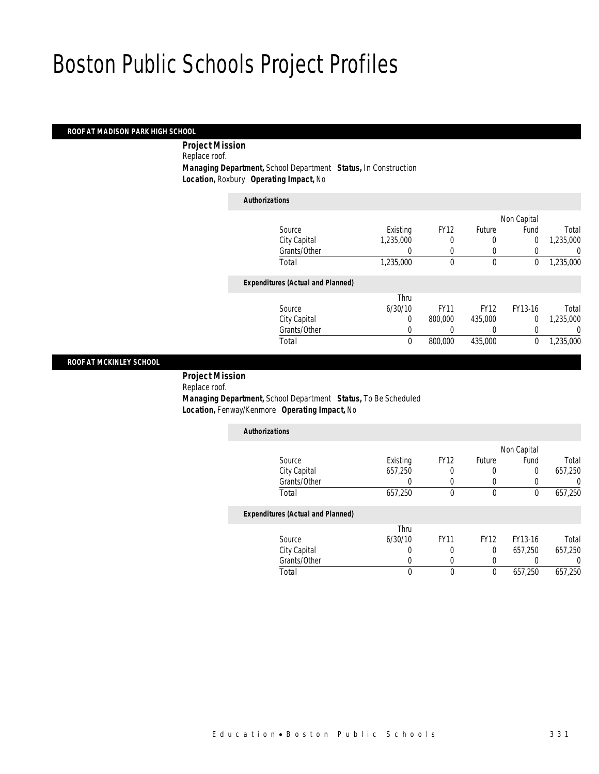#### *ROOF AT MADISON PARK HIGH SCHOOL*

 *Project Mission* Replace roof. *Managing Department,* School Department *Status,* In Construction *Location,* Roxbury *Operating Impact,* No

*Authorizations*

|                                          |           |             |             | Non Capital    |           |
|------------------------------------------|-----------|-------------|-------------|----------------|-----------|
| Source                                   | Existing  | <b>FY12</b> | Future      | Fund           | Total     |
| City Capital                             | 1,235,000 | 0           | 0           | 0              | 1,235,000 |
| Grants/Other                             |           | 0           | 0           |                | 0         |
| Total                                    | 1,235,000 | 0           | $\mathbf 0$ | 0              | 1,235,000 |
| <b>Expenditures (Actual and Planned)</b> |           |             |             |                |           |
|                                          | Thru      |             |             |                |           |
| Source                                   | 6/30/10   | <b>FY11</b> | <b>FY12</b> | FY13-16        | Total     |
| City Capital                             | 0         | 800,000     | 435,000     | $\overline{0}$ | 1,235,000 |
| Grants/Other                             | 0         |             | 0           | 0              | 0         |
| Total                                    | 0         | 800,000     | 435,000     | 0              | 1,235,000 |
|                                          |           |             |             |                |           |

#### *ROOF AT MCKINLEY SCHOOL*

*Project Mission* 

Replace roof.

 *Managing Department,* School Department *Status,* To Be Scheduled *Location,* Fenway/Kenmore *Operating Impact,* No

| <b>Authorizations</b>                    |          |                  |               |                  |                  |
|------------------------------------------|----------|------------------|---------------|------------------|------------------|
|                                          |          |                  |               | Non Capital      |                  |
| Source                                   | Existing | <b>FY12</b>      | <b>Future</b> | Fund             | Total            |
| City Capital                             | 657.250  |                  | 0             | $\Omega$         | 657.250          |
| Grants/Other                             | O        | $\left( \right)$ |               | $\left( \right)$ | $\left( \right)$ |
| Total                                    | 657,250  | $\theta$         | $\theta$      | 0                | 657,250          |
| <b>Expenditures (Actual and Planned)</b> |          |                  |               |                  |                  |
|                                          | Thru     |                  |               |                  |                  |
| Source                                   | 6/30/10  | <b>FY11</b>      | <b>FY12</b>   | FY13-16          | Total            |
| City Capital                             | 0        | 0                | $\Omega$      | 657.250          | 657.250          |
| Grants/Other                             |          |                  |               |                  |                  |
| Total                                    |          | $\mathbf 0$      | $\theta$      | 657,250          | 657.250          |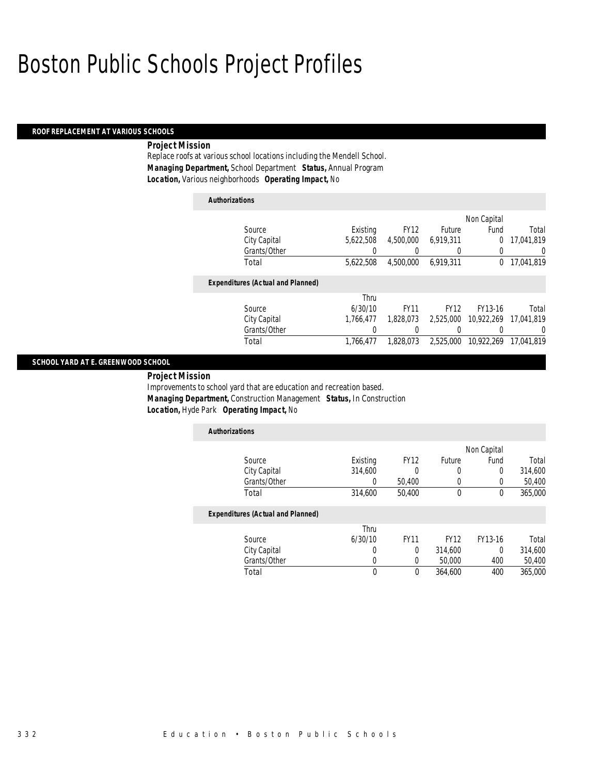#### *ROOF REPLACEMENT AT VARIOUS SCHOOLS*

### *Project Mission*

Replace roofs at various school locations including the Mendell School. *Managing Department,* School Department *Status,* Annual Program *Location,* Various neighborhoods *Operating Impact,* No

| <b>Authorizations</b>                    |           |             |             |             |            |
|------------------------------------------|-----------|-------------|-------------|-------------|------------|
|                                          |           |             |             | Non Capital |            |
| Source                                   | Existing  | <b>FY12</b> | Future      | Fund        | Total      |
| City Capital                             | 5.622.508 | 4,500,000   | 6,919,311   | 0           | 17.041.819 |
| Grants/Other                             | 0         | 0           | 0           | 0           | 0          |
| Total                                    | 5,622,508 | 4,500,000   | 6.919.311   | 0           | 17.041.819 |
| <b>Expenditures (Actual and Planned)</b> |           |             |             |             |            |
|                                          | Thru      |             |             |             |            |
| Source                                   | 6/30/10   | <b>FY11</b> | <b>FY12</b> | FY13-16     | Total      |
| City Capital                             | 1.766.477 | 1.828.073   | 2,525,000   | 10.922.269  | 17.041.819 |
| Grants/Other                             | 0         | 0           |             |             | 0          |
| Total                                    | 1.766.477 | 1.828.073   | 2.525.000   | 10,922,269  | 17.041.819 |

#### *SCHOOL YARD AT E. GREENWOOD SCHOOL*

*Project Mission* 

Improvements to school yard that are education and recreation based. *Managing Department,* Construction Management *Status,* In Construction *Location,* Hyde Park *Operating Impact,* No

| <b>Authorizations</b>                    |          |             |             |             |         |
|------------------------------------------|----------|-------------|-------------|-------------|---------|
|                                          |          |             |             | Non Capital |         |
| Source                                   | Existing | <b>FY12</b> | Future      | Fund        | Total   |
| City Capital                             | 314,600  | 0           | 0           | 0           | 314,600 |
| Grants/Other                             | 0        | 50,400      | 0           | 0           | 50,400  |
| Total                                    | 314,600  | 50,400      | 0           | 0           | 365,000 |
| <b>Expenditures (Actual and Planned)</b> |          |             |             |             |         |
|                                          | Thru     |             |             |             |         |
| Source                                   | 6/30/10  | <b>FY11</b> | <b>FY12</b> | FY13-16     | Total   |
| City Capital                             | 0        | $\Omega$    | 314,600     | 0           | 314,600 |
| Grants/Other                             |          | 0           | 50,000      | 400         | 50,400  |
| Total                                    | 0        | $\Omega$    | 364,600     | 400         | 365,000 |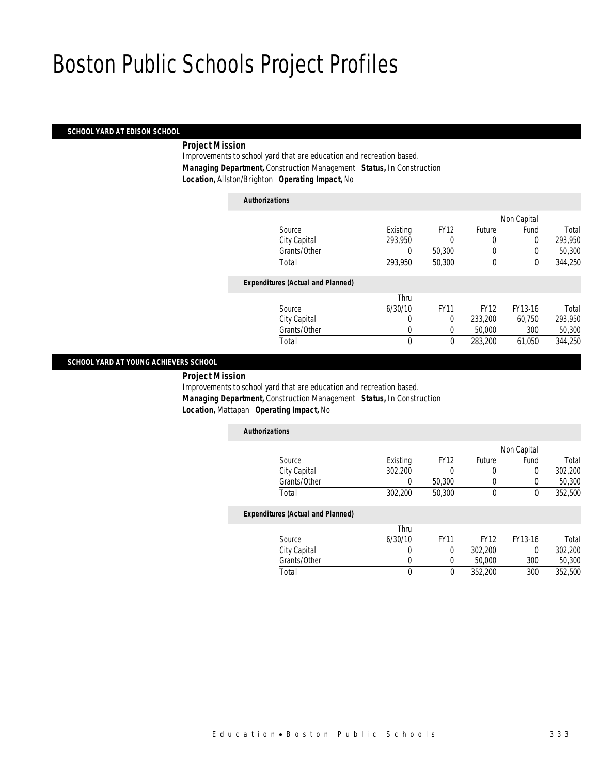#### *SCHOOL YARD AT EDISON SCHOOL*

### *Project Mission*

Improvements to school yard that are education and recreation based. *Managing Department,* Construction Management *Status,* In Construction *Location,* Allston/Brighton *Operating Impact,* No

*Authorizations*

| <b>Authorizations</b>                    |          |             |             |             |         |
|------------------------------------------|----------|-------------|-------------|-------------|---------|
|                                          |          |             |             | Non Capital |         |
| Source                                   | Existing | <b>FY12</b> | Future      | Fund        | Total   |
| City Capital                             | 293.950  | 0           | 0           | $\Omega$    | 293,950 |
| Grants/Other                             | 0        | 50,300      | 0           | 0           | 50,300  |
| Total                                    | 293,950  | 50,300      | $\theta$    | 0           | 344,250 |
| <b>Expenditures (Actual and Planned)</b> |          |             |             |             |         |
|                                          | Thru     |             |             |             |         |
| Source                                   | 6/30/10  | <b>FY11</b> | <b>FY12</b> | FY13-16     | Total   |
| City Capital                             | 0        | $\Omega$    | 233,200     | 60.750      | 293,950 |
| Grants/Other                             | 0        | $\Omega$    | 50,000      | 300         | 50,300  |
| Total                                    | 0        | 0           | 283,200     | 61.050      | 344,250 |

### *SCHOOL YARD AT YOUNG ACHIEVERS SCHOOL*

*Project Mission* 

Improvements to school yard that are education and recreation based. *Managing Department,* Construction Management *Status,* In Construction *Location,* Mattapan *Operating Impact,* No

| <b>Authorizations</b>                    |          |                         |                                 |                          |         |
|------------------------------------------|----------|-------------------------|---------------------------------|--------------------------|---------|
|                                          |          |                         |                                 | Non Capital              |         |
| Source                                   | Existing | <b>FY12</b>             | <b>Future</b>                   | Fund                     | Total   |
| City Capital                             | 302,200  | 0                       | 0                               | 0                        | 302,200 |
| Grants/Other                             | 0        | 50,300                  | 0                               |                          | 50,300  |
| Total                                    | 302,200  | 50,300                  | 0                               | 0                        | 352,500 |
| <b>Expenditures (Actual and Planned)</b> |          |                         |                                 |                          |         |
|                                          | Thru     |                         |                                 |                          |         |
| $C_{\text{out}}$                         | 1120110  | $\Gamma$ <sub>141</sub> | $\Gamma$ <sub>14</sub> $\gamma$ | $\Gamma$ 1/1 $\Omega$ 1/ | $T0+0$  |

| Source       | 6/30/10 | <b>FY11</b> | FY12    | FY13-16 | Total   |
|--------------|---------|-------------|---------|---------|---------|
| City Capital |         |             | 302.200 |         | 302,200 |
| Grants/Other |         |             | 50,000  | 300     | 50,300  |
| Total        |         |             | 352.200 | 300     | 352,500 |
|              |         |             |         |         |         |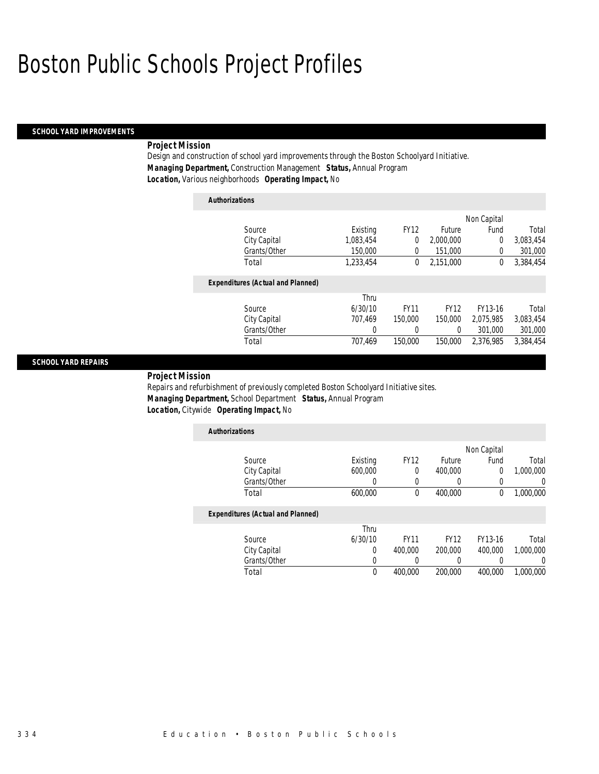#### *SCHOOL YARD IMPROVEMENTS*

### *Project Mission*

Design and construction of school yard improvements through the Boston Schoolyard Initiative. *Managing Department,* Construction Management *Status,* Annual Program *Location,* Various neighborhoods *Operating Impact,* No

| <b>Authorizations</b>                    |           |             |             |             |           |
|------------------------------------------|-----------|-------------|-------------|-------------|-----------|
|                                          |           |             |             | Non Capital |           |
| Source                                   | Existing  | <b>FY12</b> | Future      | Fund        | Total     |
| City Capital                             | 1.083.454 | 0           | 2.000.000   | $\Omega$    | 3.083.454 |
| Grants/Other                             | 150,000   | 0           | 151,000     | 0           | 301,000   |
| Total                                    | 1,233,454 | 0           | 2.151.000   | 0           | 3,384,454 |
| <b>Expenditures (Actual and Planned)</b> |           |             |             |             |           |
|                                          | Thru      |             |             |             |           |
| Source                                   | 6/30/10   | <b>FY11</b> | <b>FY12</b> | FY13-16     | Total     |
| City Capital                             | 707.469   | 150,000     | 150,000     | 2.075.985   | 3.083.454 |
| Grants/Other                             | 0         | 0           | 0           | 301.000     | 301,000   |
| Total                                    | 707.469   | 150,000     | 150,000     | 2.376.985   | 3.384.454 |

#### *SCHOOL YARD REPAIRS*

*Project Mission* 

Repairs and refurbishment of previously completed Boston Schoolyard Initiative sites. *Managing Department,* School Department *Status,* Annual Program *Location,* Citywide *Operating Impact,* No

| <b>Authorizations</b>                    |          |             |         |             |           |
|------------------------------------------|----------|-------------|---------|-------------|-----------|
|                                          |          |             |         | Non Capital |           |
| Source                                   | Existing | <b>FY12</b> | Future  | Fund        | Total     |
| City Capital                             | 600,000  |             | 400,000 | U           | 1.000.000 |
| Grants/Other                             |          |             |         |             |           |
| Total                                    | 600,000  |             | 400.000 | 0           | 1,000,000 |
| <b>Fxnenditures (Actual and Planned)</b> |          |             |         |             |           |

#### *Expenditures (Actual and Planned)*

|              | Thru    |             |         |         |           |
|--------------|---------|-------------|---------|---------|-----------|
| Source       | 6/30/10 | <b>FY11</b> | FY12    | FY13-16 | Total     |
| City Capital |         | 400.000     | 200,000 | 400,000 | 1,000,000 |
| Grants/Other |         |             |         |         |           |
| Total        |         | 400,000     | 200,000 | 400,000 | 1,000,000 |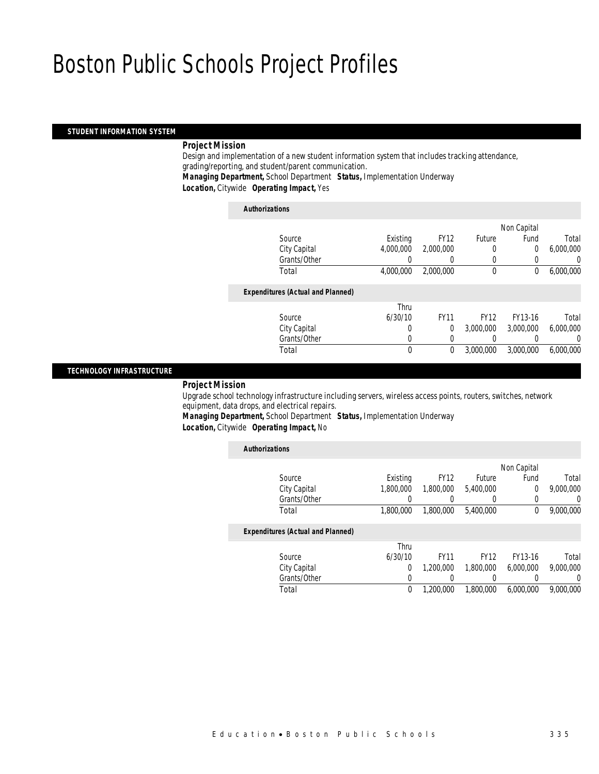#### *STUDENT INFORMATION SYSTEM*

#### *Project Mission*

Design and implementation of a new student information system that includes tracking attendance, grading/reporting, and student/parent communication. *Managing Department,* School Department *Status,* Implementation Underway *Location,* Citywide *Operating Impact,* Yes

#### *Authorizations*

|                                          |           |                  |             | Non Capital    |           |
|------------------------------------------|-----------|------------------|-------------|----------------|-----------|
| Source                                   | Existing  | <b>FY12</b>      | Future      | Fund           | Total     |
| City Capital                             | 4,000,000 | 2,000,000        | 0           | $\overline{0}$ | 6,000,000 |
| Grants/Other                             | 0         | $\left( \right)$ | 0           | 0              | 0         |
| Total                                    | 4,000,000 | 2,000,000        | $\mathbf 0$ | 0              | 6,000,000 |
| <b>Expenditures (Actual and Planned)</b> |           |                  |             |                |           |
|                                          | Thru      |                  |             |                |           |
| Source                                   | 6/30/10   | <b>FY11</b>      | <b>FY12</b> | FY13-16        | Total     |
| City Capital                             | 0         | $\theta$         | 3.000.000   | 3,000,000      | 6,000,000 |
| Grants/Other                             | 0         | 0                | 0           |                | 0         |
| Total                                    | 0         | $\theta$         | 3,000,000   | 3,000,000      | 6,000,000 |
|                                          |           |                  |             |                |           |

#### *TECHNOLOGY INFRASTRUCTURE*

### *Project Mission*

Upgrade school technology infrastructure including servers, wireless access points, routers, switches, network equipment, data drops, and electrical repairs.

*Managing Department,* School Department *Status,* Implementation Underway

*Location,* Citywide *Operating Impact,* No

| <b>Authorizations</b> |                                          |           |             |             |             |           |
|-----------------------|------------------------------------------|-----------|-------------|-------------|-------------|-----------|
|                       |                                          |           |             |             | Non Capital |           |
|                       | Source                                   | Existing  | <b>FY12</b> | Future      | Fund        | Total     |
|                       | City Capital                             | 1,800,000 | 1,800,000   | 5,400,000   | 0           | 9,000,000 |
|                       | Grants/Other                             |           |             |             | 0           | U         |
|                       | Total                                    | 1,800,000 | 1,800,000   | 5,400,000   | 0           | 9,000,000 |
|                       | <b>Expenditures (Actual and Planned)</b> |           |             |             |             |           |
|                       |                                          | Thru      |             |             |             |           |
|                       | Source                                   | 6/30/10   | <b>FY11</b> | <b>FY12</b> | FY13-16     | Total     |
|                       | City Capital                             | 0         | 1,200,000   | 1,800,000   | 6,000,000   | 9,000,000 |
|                       | Grants/Other                             | 0         | 0           |             |             | 0         |

Total 0 1,200,000 1,800,000 6,000,000 9,000,000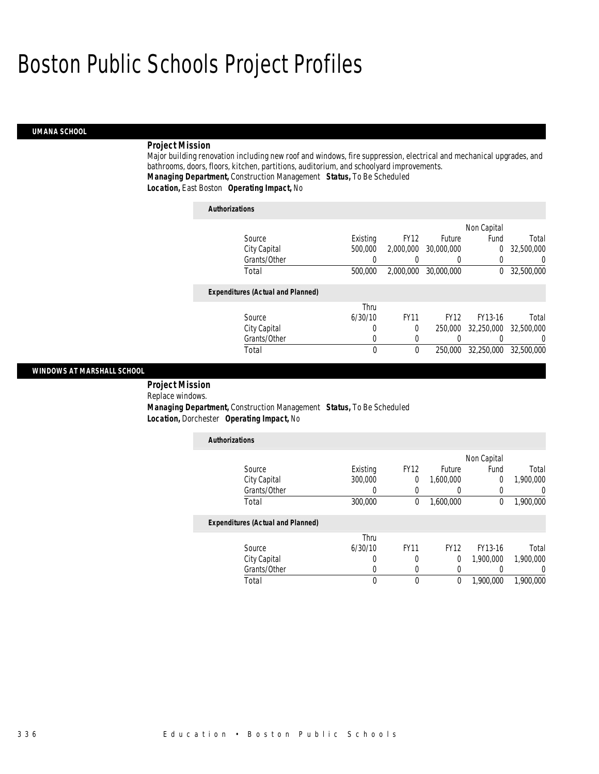### *UMANA SCHOOL*

#### *Project Mission*

Major building renovation including new roof and windows, fire suppression, electrical and mechanical upgrades, and bathrooms, doors, floors, kitchen, partitions, auditorium, and schoolyard improvements. *Managing Department,* Construction Management *Status,* To Be Scheduled *Location,* East Boston *Operating Impact,* No

| <b>Authorizations</b>                    |          |             |             |             |            |
|------------------------------------------|----------|-------------|-------------|-------------|------------|
|                                          |          |             |             | Non Capital |            |
| Source                                   | Existing | <b>FY12</b> | Future      | Fund        | Total      |
| City Capital                             | 500,000  | 2,000,000   | 30,000,000  | 0           | 32,500,000 |
| Grants/Other                             |          |             | 0           |             | 0          |
| Total                                    | 500,000  | 2.000.000   | 30,000,000  | 0           | 32,500,000 |
| <b>Expenditures (Actual and Planned)</b> |          |             |             |             |            |
|                                          | Thru     |             |             |             |            |
| Source                                   | 6/30/10  | <b>FY11</b> | <b>FY12</b> | FY13-16     | Total      |
| City Capital                             | 0        | 0           | 250,000     | 32,250,000  | 32.500.000 |
| Grants/Other                             | 0        | 0           | 0           |             | 0          |
| Total                                    | 0        | 0           | 250,000     | 32,250,000  | 32,500,000 |
|                                          |          |             |             |             |            |

### *WINDOWS AT MARSHALL SCHOOL*

 *Project Mission* Replace windows. *Managing Department,* Construction Management *Status,* To Be Scheduled *Location,* Dorchester *Operating Impact,* No

| <b>Authorizations</b>                    |          |             |             |             |           |
|------------------------------------------|----------|-------------|-------------|-------------|-----------|
|                                          |          |             |             | Non Capital |           |
| Source                                   | Existing | <b>FY12</b> | Future      | Fund        | Total     |
| City Capital                             | 300,000  | 0           | 1,600,000   | 0           | 1,900,000 |
| Grants/Other                             |          | 0           |             | 0           | 0         |
| Total                                    | 300,000  | 0           | 1,600,000   | $\theta$    | 1,900,000 |
| <b>Expenditures (Actual and Planned)</b> |          |             |             |             |           |
|                                          | Thru     |             |             |             |           |
| Source                                   | 6/30/10  | <b>FY11</b> | <b>FY12</b> | FY13-16     | Total     |
| City Capital                             | 0        | 0           | 0           | 1.900.000   | 1,900,000 |
| Grants/Other                             | 0        | 0           |             |             | 0         |
| Total                                    | 0        | $\theta$    | 0           | 1,900,000   | 1,900,000 |